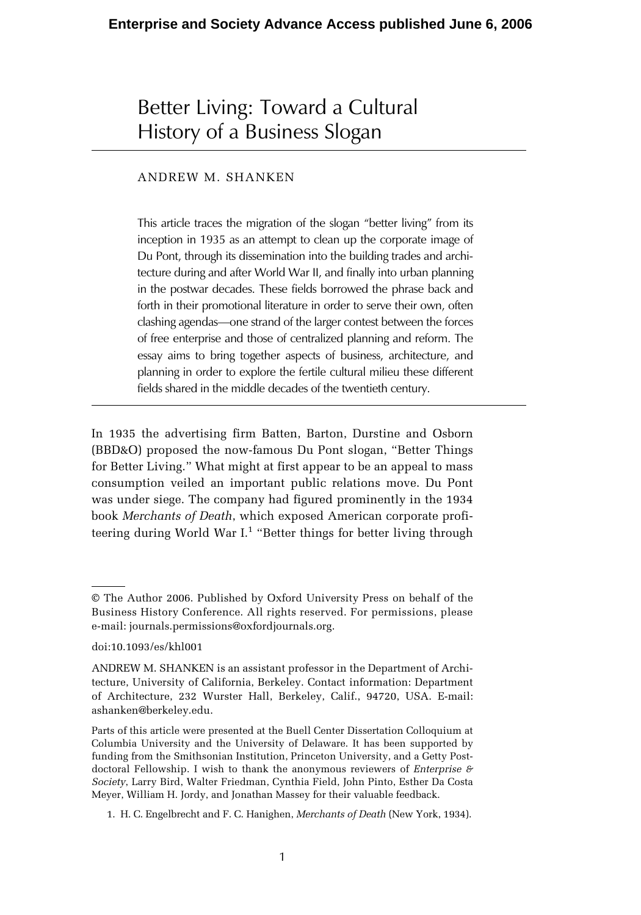# Better Living: Toward a Cultural History of a Business Slogan

## ANDREW M. SHANKEN

This article traces the migration of the slogan "better living" from its inception in 1935 as an attempt to clean up the corporate image of Du Pont, through its dissemination into the building trades and architecture during and after World War II, and finally into urban planning in the postwar decades. These fields borrowed the phrase back and forth in their promotional literature in order to serve their own, often clashing agendas—one strand of the larger contest between the forces of free enterprise and those of centralized planning and reform. The essay aims to bring together aspects of business, architecture, and planning in order to explore the fertile cultural milieu these different fields shared in the middle decades of the twentieth century.

In 1935 the advertising firm Batten, Barton, Durstine and Osborn (BBD&O) proposed the now-famous Du Pont slogan, "Better Things for Better Living." What might at first appear to be an appeal to mass consumption veiled an important public relations move. Du Pont was under siege. The company had figured prominently in the 1934 book *Merchants of Death*, which exposed American corporate profiteering during World War I. $^1$  "Better things for better living through

<sup>©</sup> The Author 2006. Published by Oxford University Press on behalf of the Business History Conference. All rights reserved. For permissions, please e-mail: journals.permissions@oxfordjournals.org.

doi:10.1093/es/khl001

ANDREW M. SHANKEN is an assistant professor in the Department of Architecture, University of California, Berkeley. Contact information: Department of Architecture, 232 Wurster Hall, Berkeley, Calif., 94720, USA. E-mail: ashanken@berkeley.edu.

Parts of this article were presented at the Buell Center Dissertation Colloquium at Columbia University and the University of Delaware. It has been supported by funding from the Smithsonian Institution, Princeton University, and a Getty Postdoctoral Fellowship. I wish to thank the anonymous reviewers of *Enterprise & Society*, Larry Bird, Walter Friedman, Cynthia Field, John Pinto, Esther Da Costa Meyer, William H. Jordy, and Jonathan Massey for their valuable feedback.

<sup>1.</sup> H. C. Engelbrecht and F. C. Hanighen, *Merchants of Death* (New York, 1934).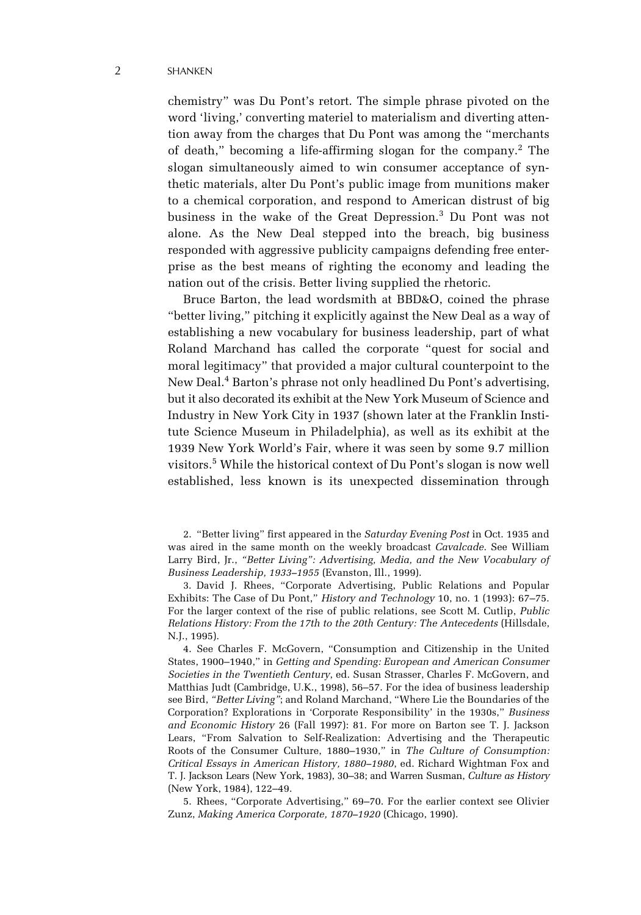#### 2 SHANKEN

chemistry" was Du Pont's retort. The simple phrase pivoted on the word 'living,' converting materiel to materialism and diverting attention away from the charges that Du Pont was among the "merchants of death," becoming a life-affirming slogan for the company.<sup>2</sup> The slogan simultaneously aimed to win consumer acceptance of synthetic materials, alter Du Pont's public image from munitions maker to a chemical corporation, and respond to American distrust of big business in the wake of the Great Depression.<sup>3</sup> Du Pont was not alone. As the New Deal stepped into the breach, big business responded with aggressive publicity campaigns defending free enterprise as the best means of righting the economy and leading the nation out of the crisis. Better living supplied the rhetoric.

Bruce Barton, the lead wordsmith at BBD&O, coined the phrase "better living," pitching it explicitly against the New Deal as a way of establishing a new vocabulary for business leadership, part of what Roland Marchand has called the corporate "quest for social and moral legitimacy" that provided a major cultural counterpoint to the New Deal.<sup>4</sup> Barton's phrase not only headlined Du Pont's advertising, but it also decorated its exhibit at the New York Museum of Science and Industry in New York City in 1937 (shown later at the Franklin Institute Science Museum in Philadelphia), as well as its exhibit at the 1939 New York World's Fair, where it was seen by some 9.7 million visitors.<sup>5</sup> While the historical context of Du Pont's slogan is now well established, less known is its unexpected dissemination through

3. David J. Rhees, "Corporate Advertising, Public Relations and Popular Exhibits: The Case of Du Pont," *History and Technology* 10, no. 1 (1993): 67–75. For the larger context of the rise of public relations, see Scott M. Cutlip, *Public Relations History: From the 17th to the 20th Century: The Antecedents* (Hillsdale, N.J., 1995).

4. See Charles F. McGovern, "Consumption and Citizenship in the United States, 1900–1940," in *Getting and Spending: European and American Consumer Societies in the Twentieth Century*, ed. Susan Strasser, Charles F. McGovern, and Matthias Judt (Cambridge, U.K., 1998), 56–57. For the idea of business leadership see Bird, *"Better Living"*; and Roland Marchand, "Where Lie the Boundaries of the Corporation? Explorations in 'Corporate Responsibility' in the 1930s," *Business and Economic History* 26 (Fall 1997): 81. For more on Barton see T. J. Jackson Lears, "From Salvation to Self-Realization: Advertising and the Therapeutic Roots of the Consumer Culture, 1880–1930," in *The Culture of Consumption: Critical Essays in American History, 1880–1980*, ed. Richard Wightman Fox and T. J. Jackson Lears (New York, 1983), 30–38; and Warren Susman, *Culture as History* (New York, 1984), 122–49.

5. Rhees, "Corporate Advertising," 69–70. For the earlier context see Olivier Zunz, *Making America Corporate, 1870–1920* (Chicago, 1990).

<sup>2. &</sup>quot;Better living" first appeared in the *Saturday Evening Post* in Oct. 1935 and was aired in the same month on the weekly broadcast *Cavalcade*. See William Larry Bird, Jr., *"Better Living": Advertising, Media, and the New Vocabulary of Business Leadership, 1933–1955* (Evanston, Ill., 1999).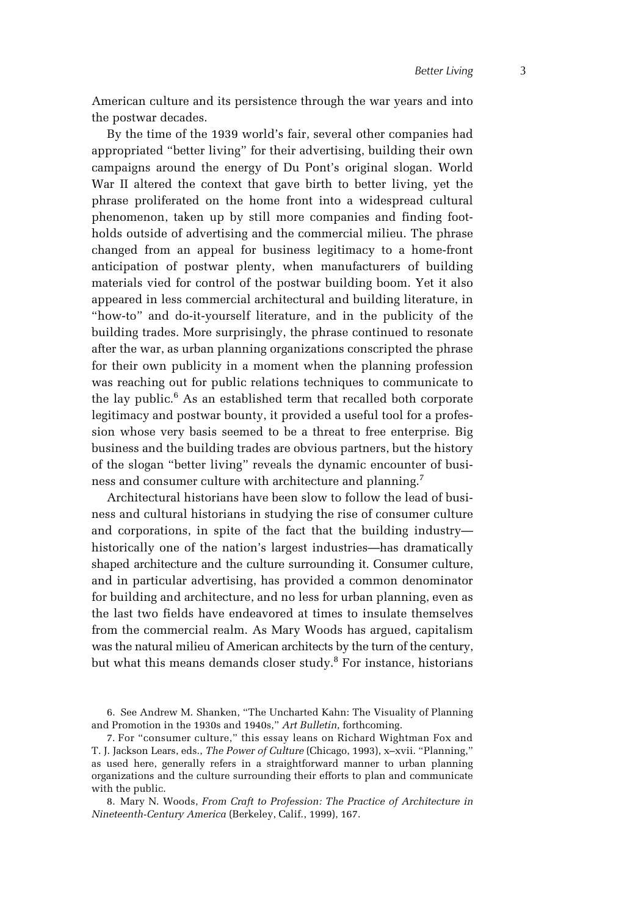American culture and its persistence through the war years and into the postwar decades.

By the time of the 1939 world's fair, several other companies had appropriated "better living" for their advertising, building their own campaigns around the energy of Du Pont's original slogan. World War II altered the context that gave birth to better living, yet the phrase proliferated on the home front into a widespread cultural phenomenon, taken up by still more companies and finding footholds outside of advertising and the commercial milieu. The phrase changed from an appeal for business legitimacy to a home-front anticipation of postwar plenty, when manufacturers of building materials vied for control of the postwar building boom. Yet it also appeared in less commercial architectural and building literature, in "how-to" and do-it-yourself literature, and in the publicity of the building trades. More surprisingly, the phrase continued to resonate after the war, as urban planning organizations conscripted the phrase for their own publicity in a moment when the planning profession was reaching out for public relations techniques to communicate to the lay public.<sup>6</sup> As an established term that recalled both corporate legitimacy and postwar bounty, it provided a useful tool for a profession whose very basis seemed to be a threat to free enterprise. Big business and the building trades are obvious partners, but the history of the slogan "better living" reveals the dynamic encounter of business and consumer culture with architecture and planning.<sup>7</sup>

Architectural historians have been slow to follow the lead of business and cultural historians in studying the rise of consumer culture and corporations, in spite of the fact that the building industry historically one of the nation's largest industries—has dramatically shaped architecture and the culture surrounding it. Consumer culture, and in particular advertising, has provided a common denominator for building and architecture, and no less for urban planning, even as the last two fields have endeavored at times to insulate themselves from the commercial realm. As Mary Woods has argued, capitalism was the natural milieu of American architects by the turn of the century, but what this means demands closer study.<sup>8</sup> For instance, historians

6. See Andrew M. Shanken, "The Uncharted Kahn: The Visuality of Planning and Promotion in the 1930s and 1940s," *Art Bulletin*, forthcoming.

7. For "consumer culture," this essay leans on Richard Wightman Fox and T. J. Jackson Lears, eds., *The Power of Culture* (Chicago, 1993), x–xvii. "Planning," as used here, generally refers in a straightforward manner to urban planning organizations and the culture surrounding their efforts to plan and communicate with the public.

8. Mary N. Woods, *From Craft to Profession: The Practice of Architecture in Nineteenth-Century America* (Berkeley, Calif., 1999), 167.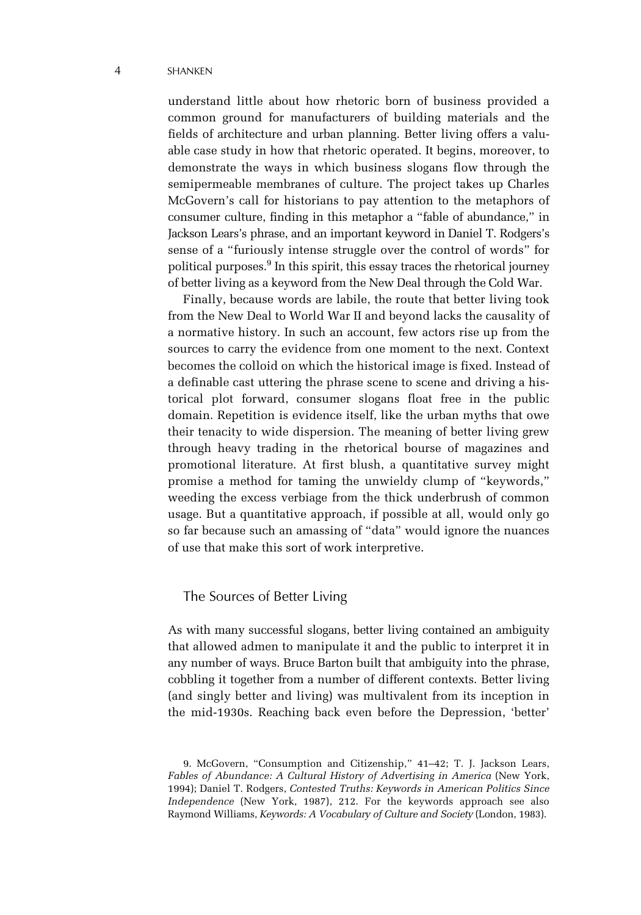#### 4 SHANKEN

understand little about how rhetoric born of business provided a common ground for manufacturers of building materials and the fields of architecture and urban planning. Better living offers a valuable case study in how that rhetoric operated. It begins, moreover, to demonstrate the ways in which business slogans flow through the semipermeable membranes of culture. The project takes up Charles McGovern's call for historians to pay attention to the metaphors of consumer culture, finding in this metaphor a "fable of abundance," in Jackson Lears's phrase, and an important keyword in Daniel T. Rodgers's sense of a "furiously intense struggle over the control of words" for political purposes.<sup>9</sup> In this spirit, this essay traces the rhetorical journey of better living as a keyword from the New Deal through the Cold War.

Finally, because words are labile, the route that better living took from the New Deal to World War II and beyond lacks the causality of a normative history. In such an account, few actors rise up from the sources to carry the evidence from one moment to the next. Context becomes the colloid on which the historical image is fixed. Instead of a definable cast uttering the phrase scene to scene and driving a historical plot forward, consumer slogans float free in the public domain. Repetition is evidence itself, like the urban myths that owe their tenacity to wide dispersion. The meaning of better living grew through heavy trading in the rhetorical bourse of magazines and promotional literature. At first blush, a quantitative survey might promise a method for taming the unwieldy clump of "keywords," weeding the excess verbiage from the thick underbrush of common usage. But a quantitative approach, if possible at all, would only go so far because such an amassing of "data" would ignore the nuances of use that make this sort of work interpretive.

## The Sources of Better Living

As with many successful slogans, better living contained an ambiguity that allowed admen to manipulate it and the public to interpret it in any number of ways. Bruce Barton built that ambiguity into the phrase, cobbling it together from a number of different contexts. Better living (and singly better and living) was multivalent from its inception in the mid-1930s. Reaching back even before the Depression, 'better'

<sup>9.</sup> McGovern, "Consumption and Citizenship," 41–42; T. J. Jackson Lears, *Fables of Abundance: A Cultural History of Advertising in America* (New York, 1994); Daniel T. Rodgers, *Contested Truths: Keywords in American Politics Since Independence* (New York, 1987), 212. For the keywords approach see also Raymond Williams, *Keywords: A Vocabulary of Culture and Society* (London, 1983).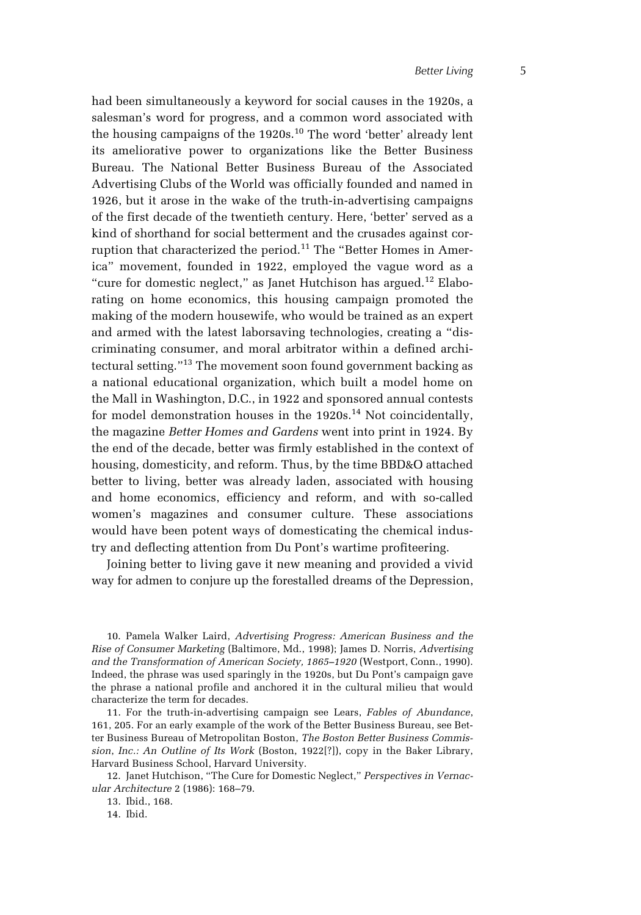had been simultaneously a keyword for social causes in the 1920s, a salesman's word for progress, and a common word associated with the housing campaigns of the  $1920s$ .<sup>10</sup> The word 'better' already lent its ameliorative power to organizations like the Better Business Bureau. The National Better Business Bureau of the Associated Advertising Clubs of the World was officially founded and named in 1926, but it arose in the wake of the truth-in-advertising campaigns of the first decade of the twentieth century. Here, 'better' served as a kind of shorthand for social betterment and the crusades against corruption that characterized the period.11 The "Better Homes in America" movement, founded in 1922, employed the vague word as a "cure for domestic neglect," as Janet Hutchison has argued. $12$  Elaborating on home economics, this housing campaign promoted the making of the modern housewife, who would be trained as an expert and armed with the latest laborsaving technologies, creating a "discriminating consumer, and moral arbitrator within a defined architectural setting."13 The movement soon found government backing as a national educational organization, which built a model home on the Mall in Washington, D.C., in 1922 and sponsored annual contests for model demonstration houses in the  $1920s.<sup>14</sup>$  Not coincidentally, the magazine *Better Homes and Gardens* went into print in 1924. By the end of the decade, better was firmly established in the context of housing, domesticity, and reform. Thus, by the time BBD&O attached better to living, better was already laden, associated with housing and home economics, efficiency and reform, and with so-called women's magazines and consumer culture. These associations would have been potent ways of domesticating the chemical industry and deflecting attention from Du Pont's wartime profiteering.

Joining better to living gave it new meaning and provided a vivid way for admen to conjure up the forestalled dreams of the Depression,

10. Pamela Walker Laird, *Advertising Progress: American Business and the Rise of Consumer Marketing* (Baltimore, Md., 1998); James D. Norris, *Advertising and the Transformation of American Society, 1865–1920* (Westport, Conn., 1990). Indeed, the phrase was used sparingly in the 1920s, but Du Pont's campaign gave the phrase a national profile and anchored it in the cultural milieu that would characterize the term for decades.

11. For the truth-in-advertising campaign see Lears, *Fables of Abundance*, 161, 205. For an early example of the work of the Better Business Bureau, see Better Business Bureau of Metropolitan Boston, *The Boston Better Business Commission*, *Inc.: An Outline of Its Work* (Boston, 1922[?]), copy in the Baker Library, Harvard Business School, Harvard University.

12. Janet Hutchison, "The Cure for Domestic Neglect," *Perspectives in Vernacular Architecture* 2 (1986): 168–79.

13. Ibid., 168.

14. Ibid.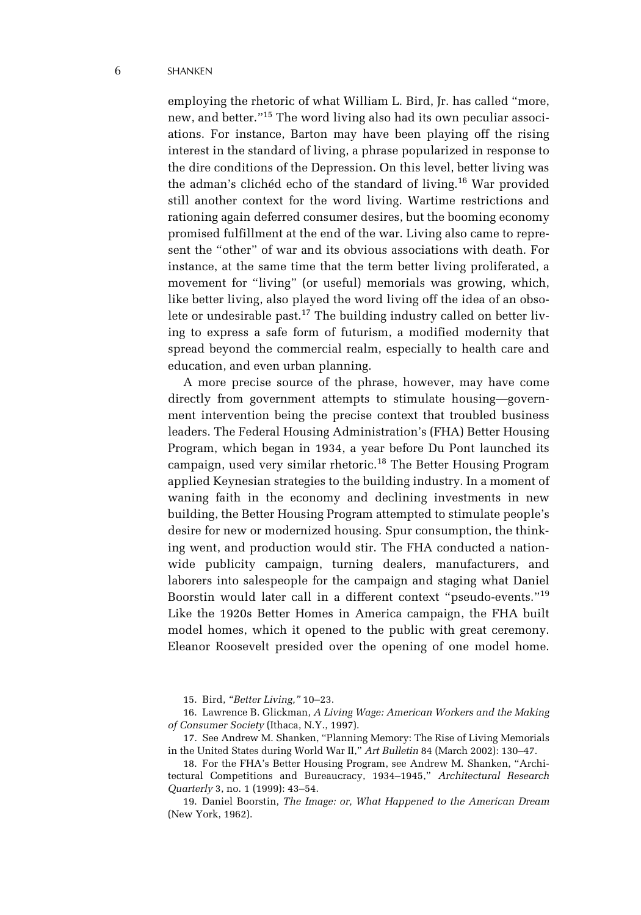employing the rhetoric of what William L. Bird, Jr. has called "more, new, and better."15 The word living also had its own peculiar associations. For instance, Barton may have been playing off the rising interest in the standard of living, a phrase popularized in response to the dire conditions of the Depression. On this level, better living was the adman's clichéd echo of the standard of living.16 War provided still another context for the word living. Wartime restrictions and rationing again deferred consumer desires, but the booming economy promised fulfillment at the end of the war. Living also came to represent the "other" of war and its obvious associations with death. For instance, at the same time that the term better living proliferated, a movement for "living" (or useful) memorials was growing, which, like better living, also played the word living off the idea of an obsolete or undesirable past.<sup>17</sup> The building industry called on better living to express a safe form of futurism, a modified modernity that spread beyond the commercial realm, especially to health care and education, and even urban planning.

A more precise source of the phrase, however, may have come directly from government attempts to stimulate housing—government intervention being the precise context that troubled business leaders. The Federal Housing Administration's (FHA) Better Housing Program, which began in 1934, a year before Du Pont launched its campaign, used very similar rhetoric.18 The Better Housing Program applied Keynesian strategies to the building industry. In a moment of waning faith in the economy and declining investments in new building, the Better Housing Program attempted to stimulate people's desire for new or modernized housing. Spur consumption, the thinking went, and production would stir. The FHA conducted a nationwide publicity campaign, turning dealers, manufacturers, and laborers into salespeople for the campaign and staging what Daniel Boorstin would later call in a different context "pseudo-events."<sup>19</sup> Like the 1920s Better Homes in America campaign, the FHA built model homes, which it opened to the public with great ceremony. Eleanor Roosevelt presided over the opening of one model home.

19. Daniel Boorstin, *The Image: or, What Happened to the American Dream* (New York, 1962).

<sup>15.</sup> Bird, *"Better Living,"* 10–23.

<sup>16.</sup> Lawrence B. Glickman, *A Living Wage: American Workers and the Making of Consumer Society* (Ithaca, N.Y., 1997).

<sup>17.</sup> See Andrew M. Shanken, "Planning Memory: The Rise of Living Memorials in the United States during World War II," *Art Bulletin* 84 (March 2002): 130–47.

<sup>18.</sup> For the FHA's Better Housing Program, see Andrew M. Shanken, "Architectural Competitions and Bureaucracy, 1934–1945," *Architectural Research Quarterly* 3, no. 1 (1999): 43–54.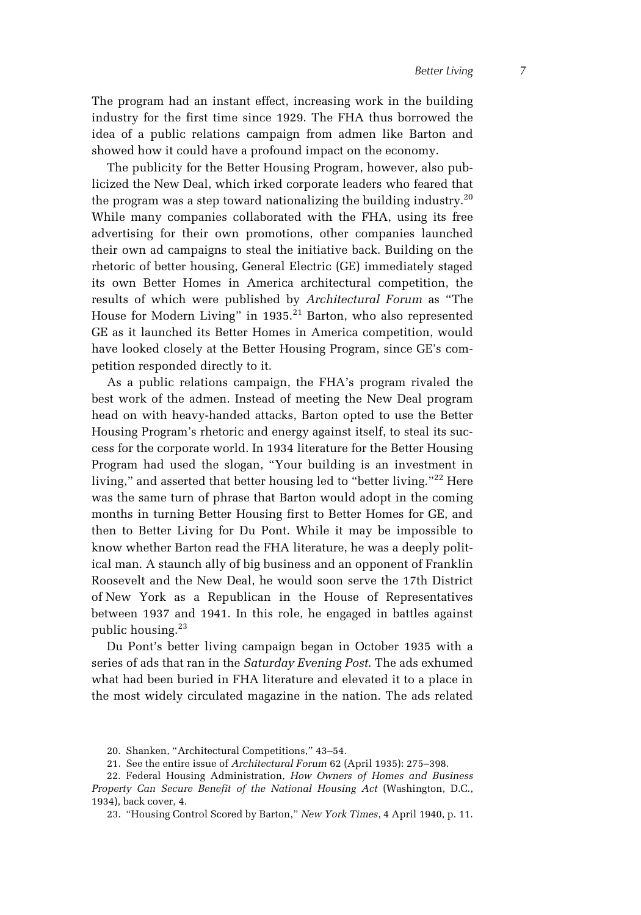The program had an instant effect, increasing work in the building industry for the first time since 1929. The FHA thus borrowed the idea of a public relations campaign from admen like Barton and showed how it could have a profound impact on the economy.

The publicity for the Better Housing Program, however, also publicized the New Deal, which irked corporate leaders who feared that the program was a step toward nationalizing the building industry.<sup>20</sup> While many companies collaborated with the FHA, using its free advertising for their own promotions, other companies launched their own ad campaigns to steal the initiative back. Building on the rhetoric of better housing, General Electric (GE) immediately staged its own Better Homes in America architectural competition, the results of which were published by *Architectural Forum* as "The House for Modern Living" in 1935.<sup>21</sup> Barton, who also represented GE as it launched its Better Homes in America competition, would have looked closely at the Better Housing Program, since GE's competition responded directly to it.

As a public relations campaign, the FHA's program rivaled the best work of the admen. Instead of meeting the New Deal program head on with heavy-handed attacks, Barton opted to use the Better Housing Program's rhetoric and energy against itself, to steal its success for the corporate world. In 1934 literature for the Better Housing Program had used the slogan, "Your building is an investment in living," and asserted that better housing led to "better living."<sup>22</sup> Here was the same turn of phrase that Barton would adopt in the coming months in turning Better Housing first to Better Homes for GE, and then to Better Living for Du Pont. While it may be impossible to know whether Barton read the FHA literature, he was a deeply political man. A staunch ally of big business and an opponent of Franklin Roosevelt and the New Deal, he would soon serve the 17th District of New York as a Republican in the House of Representatives between 1937 and 1941. In this role, he engaged in battles against public housing.<sup>23</sup>

Du Pont's better living campaign began in October 1935 with a series of ads that ran in the *Saturday Evening Post*. The ads exhumed what had been buried in FHA literature and elevated it to a place in the most widely circulated magazine in the nation. The ads related

<sup>20.</sup> Shanken, "Architectural Competitions," 43–54.

<sup>21.</sup> See the entire issue of *Architectural Forum* 62 (April 1935): 275–398.

<sup>22.</sup> Federal Housing Administration, *How Owners of Homes and Business Property Can Secure Benefit of the National Housing Act* (Washington, D.C., 1934), back cover, 4.

<sup>23. &</sup>quot;Housing Control Scored by Barton," *New York Times*, 4 April 1940, p. 11.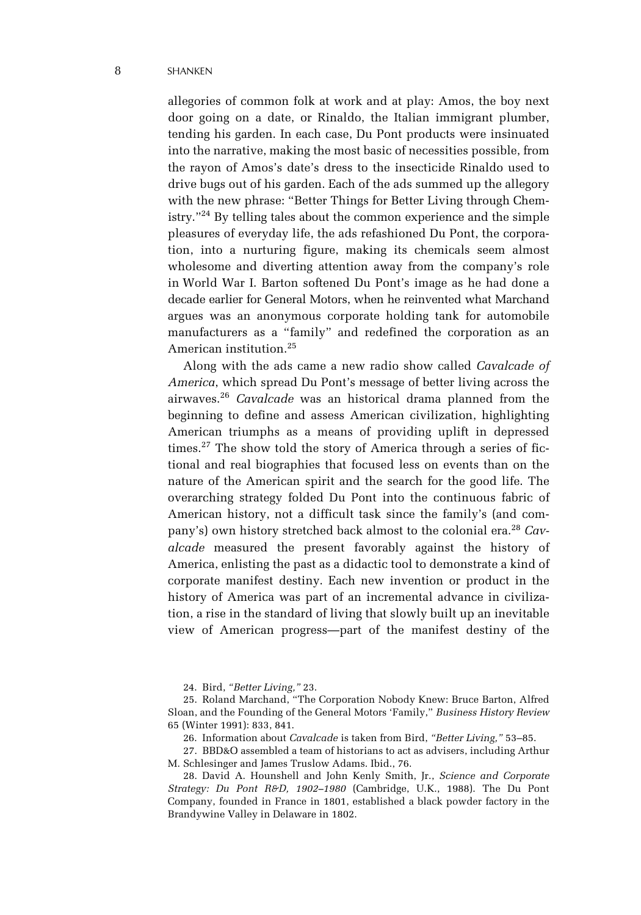#### 8 SHANKEN

allegories of common folk at work and at play: Amos, the boy next door going on a date, or Rinaldo, the Italian immigrant plumber, tending his garden. In each case, Du Pont products were insinuated into the narrative, making the most basic of necessities possible, from the rayon of Amos's date's dress to the insecticide Rinaldo used to drive bugs out of his garden. Each of the ads summed up the allegory with the new phrase: "Better Things for Better Living through Chemistry."24 By telling tales about the common experience and the simple pleasures of everyday life, the ads refashioned Du Pont, the corporation, into a nurturing figure, making its chemicals seem almost wholesome and diverting attention away from the company's role in World War I. Barton softened Du Pont's image as he had done a decade earlier for General Motors, when he reinvented what Marchand argues was an anonymous corporate holding tank for automobile manufacturers as a "family" and redefined the corporation as an American institution.25

Along with the ads came a new radio show called *Cavalcade of America*, which spread Du Pont's message of better living across the airwaves.<sup>26</sup> *Cavalcade* was an historical drama planned from the beginning to define and assess American civilization, highlighting American triumphs as a means of providing uplift in depressed times.<sup>27</sup> The show told the story of America through a series of fictional and real biographies that focused less on events than on the nature of the American spirit and the search for the good life. The overarching strategy folded Du Pont into the continuous fabric of American history, not a difficult task since the family's (and company's) own history stretched back almost to the colonial era.28 *Cavalcade* measured the present favorably against the history of America, enlisting the past as a didactic tool to demonstrate a kind of corporate manifest destiny. Each new invention or product in the history of America was part of an incremental advance in civilization, a rise in the standard of living that slowly built up an inevitable view of American progress—part of the manifest destiny of the

24. Bird, *"Better Living,"* 23.

25. Roland Marchand, "The Corporation Nobody Knew: Bruce Barton, Alfred Sloan, and the Founding of the General Motors 'Family," *Business History Review* 65 (Winter 1991): 833, 841.

26. Information about *Cavalcade* is taken from Bird, *"Better Living,"* 53–85.

27. BBD&O assembled a team of historians to act as advisers, including Arthur M. Schlesinger and James Truslow Adams. Ibid., 76.

28. David A. Hounshell and John Kenly Smith, Jr., *Science and Corporate Strategy: Du Pont R&D, 1902–1980* (Cambridge, U.K., 1988). The Du Pont Company, founded in France in 1801, established a black powder factory in the Brandywine Valley in Delaware in 1802.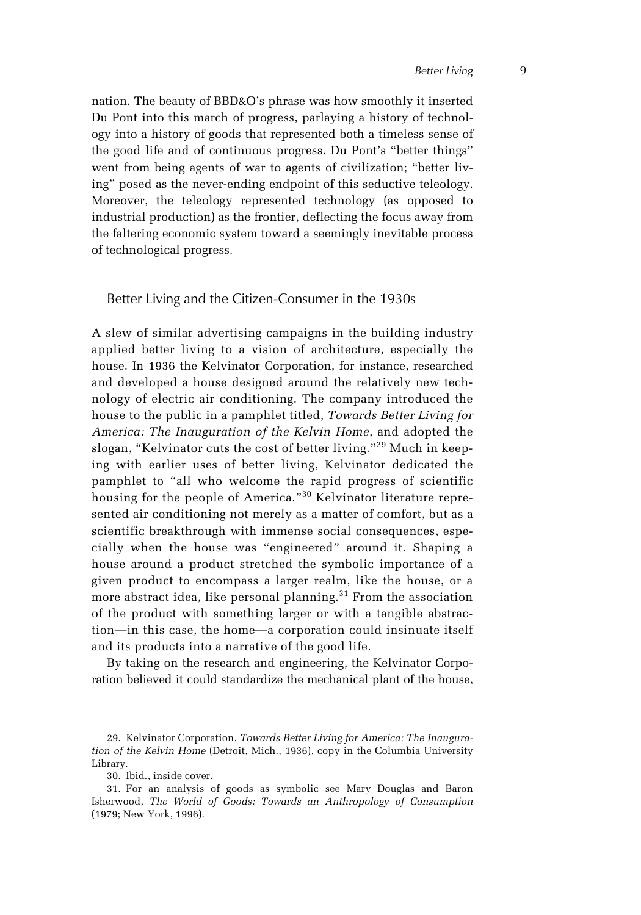nation. The beauty of BBD&O's phrase was how smoothly it inserted Du Pont into this march of progress, parlaying a history of technology into a history of goods that represented both a timeless sense of the good life and of continuous progress. Du Pont's "better things" went from being agents of war to agents of civilization; "better living" posed as the never-ending endpoint of this seductive teleology. Moreover, the teleology represented technology (as opposed to industrial production) as the frontier, deflecting the focus away from the faltering economic system toward a seemingly inevitable process of technological progress.

## Better Living and the Citizen-Consumer in the 1930s

A slew of similar advertising campaigns in the building industry applied better living to a vision of architecture, especially the house. In 1936 the Kelvinator Corporation, for instance, researched and developed a house designed around the relatively new technology of electric air conditioning. The company introduced the house to the public in a pamphlet titled, *Towards Better Living for America: The Inauguration of the Kelvin Home*, and adopted the slogan, "Kelvinator cuts the cost of better living."29 Much in keeping with earlier uses of better living, Kelvinator dedicated the pamphlet to "all who welcome the rapid progress of scientific housing for the people of America."<sup>30</sup> Kelvinator literature represented air conditioning not merely as a matter of comfort, but as a scientific breakthrough with immense social consequences, especially when the house was "engineered" around it. Shaping a house around a product stretched the symbolic importance of a given product to encompass a larger realm, like the house, or a more abstract idea, like personal planning.<sup>31</sup> From the association of the product with something larger or with a tangible abstraction—in this case, the home—a corporation could insinuate itself and its products into a narrative of the good life.

By taking on the research and engineering, the Kelvinator Corporation believed it could standardize the mechanical plant of the house,

<sup>29.</sup> Kelvinator Corporation, *Towards Better Living for America: The Inauguration of the Kelvin Home* (Detroit, Mich., 1936), copy in the Columbia University Library.

<sup>30.</sup> Ibid., inside cover.

<sup>31.</sup> For an analysis of goods as symbolic see Mary Douglas and Baron Isherwood, *The World of Goods: Towards an Anthropology of Consumption* (1979; New York, 1996).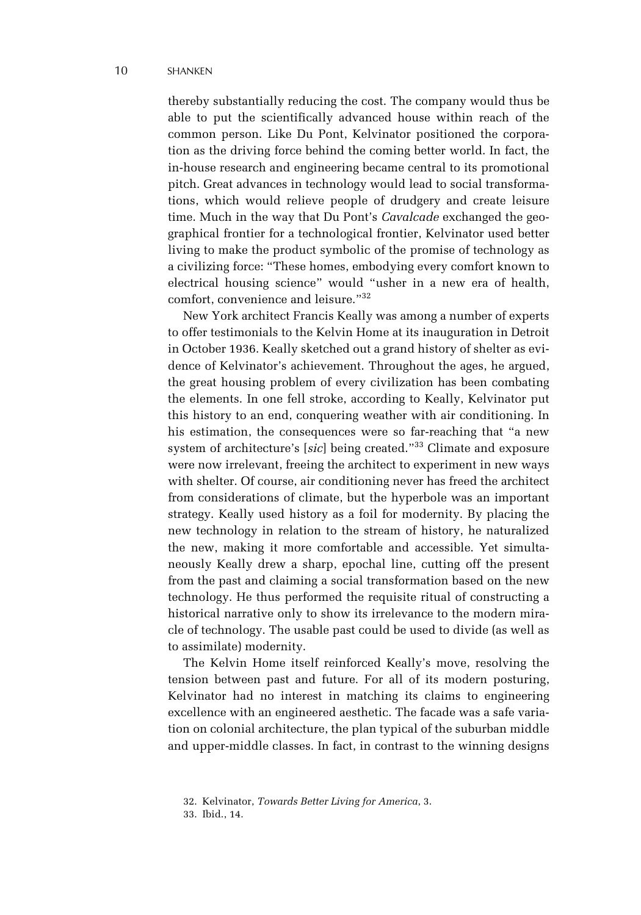thereby substantially reducing the cost. The company would thus be able to put the scientifically advanced house within reach of the common person. Like Du Pont, Kelvinator positioned the corporation as the driving force behind the coming better world. In fact, the in-house research and engineering became central to its promotional pitch. Great advances in technology would lead to social transformations, which would relieve people of drudgery and create leisure time. Much in the way that Du Pont's *Cavalcade* exchanged the geographical frontier for a technological frontier, Kelvinator used better living to make the product symbolic of the promise of technology as a civilizing force: "These homes, embodying every comfort known to electrical housing science" would "usher in a new era of health, comfort, convenience and leisure."32

New York architect Francis Keally was among a number of experts to offer testimonials to the Kelvin Home at its inauguration in Detroit in October 1936. Keally sketched out a grand history of shelter as evidence of Kelvinator's achievement. Throughout the ages, he argued, the great housing problem of every civilization has been combating the elements. In one fell stroke, according to Keally, Kelvinator put this history to an end, conquering weather with air conditioning. In his estimation, the consequences were so far-reaching that "a new system of architecture's [*sic*] being created."33 Climate and exposure were now irrelevant, freeing the architect to experiment in new ways with shelter. Of course, air conditioning never has freed the architect from considerations of climate, but the hyperbole was an important strategy. Keally used history as a foil for modernity. By placing the new technology in relation to the stream of history, he naturalized the new, making it more comfortable and accessible. Yet simultaneously Keally drew a sharp, epochal line, cutting off the present from the past and claiming a social transformation based on the new technology. He thus performed the requisite ritual of constructing a historical narrative only to show its irrelevance to the modern miracle of technology. The usable past could be used to divide (as well as to assimilate) modernity.

The Kelvin Home itself reinforced Keally's move, resolving the tension between past and future. For all of its modern posturing, Kelvinator had no interest in matching its claims to engineering excellence with an engineered aesthetic. The facade was a safe variation on colonial architecture, the plan typical of the suburban middle and upper-middle classes. In fact, in contrast to the winning designs

<sup>32.</sup> Kelvinator, *Towards Better Living for America*, 3.

<sup>33.</sup> Ibid., 14.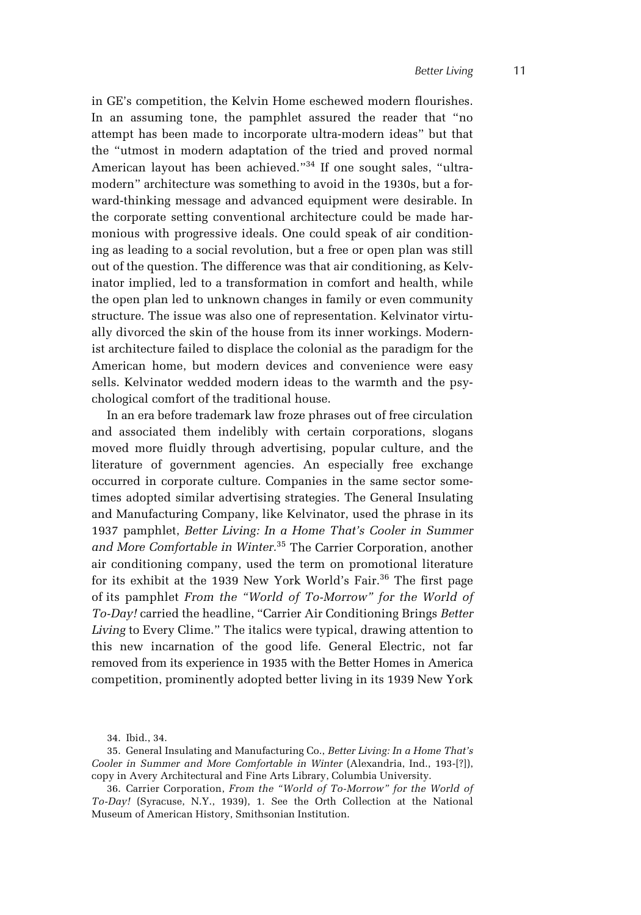in GE's competition, the Kelvin Home eschewed modern flourishes. In an assuming tone, the pamphlet assured the reader that "no attempt has been made to incorporate ultra-modern ideas" but that the "utmost in modern adaptation of the tried and proved normal American layout has been achieved."<sup>34</sup> If one sought sales, "ultramodern" architecture was something to avoid in the 1930s, but a forward-thinking message and advanced equipment were desirable. In the corporate setting conventional architecture could be made harmonious with progressive ideals. One could speak of air conditioning as leading to a social revolution, but a free or open plan was still out of the question. The difference was that air conditioning, as Kelvinator implied, led to a transformation in comfort and health, while the open plan led to unknown changes in family or even community structure. The issue was also one of representation. Kelvinator virtually divorced the skin of the house from its inner workings. Modernist architecture failed to displace the colonial as the paradigm for the American home, but modern devices and convenience were easy sells. Kelvinator wedded modern ideas to the warmth and the psychological comfort of the traditional house.

In an era before trademark law froze phrases out of free circulation and associated them indelibly with certain corporations, slogans moved more fluidly through advertising, popular culture, and the literature of government agencies. An especially free exchange occurred in corporate culture. Companies in the same sector sometimes adopted similar advertising strategies. The General Insulating and Manufacturing Company, like Kelvinator, used the phrase in its 1937 pamphlet, *Better Living: In a Home That's Cooler in Summer and More Comfortable in Winter.*35 The Carrier Corporation, another air conditioning company, used the term on promotional literature for its exhibit at the 1939 New York World's Fair.<sup>36</sup> The first page of its pamphlet *From the "World of To-Morrow" for the World of To-Day!* carried the headline, "Carrier Air Conditioning Brings *Better Living* to Every Clime." The italics were typical, drawing attention to this new incarnation of the good life. General Electric, not far removed from its experience in 1935 with the Better Homes in America competition, prominently adopted better living in its 1939 New York

<sup>34.</sup> Ibid., 34.

<sup>35.</sup> General Insulating and Manufacturing Co., *Better Living: In a Home That's Cooler in Summer and More Comfortable in Winter* (Alexandria, Ind., 193-[?]), copy in Avery Architectural and Fine Arts Library, Columbia University.

<sup>36.</sup> Carrier Corporation, *From the "World of To-Morrow" for the World of To-Day!* (Syracuse, N.Y., 1939), 1. See the Orth Collection at the National Museum of American History, Smithsonian Institution.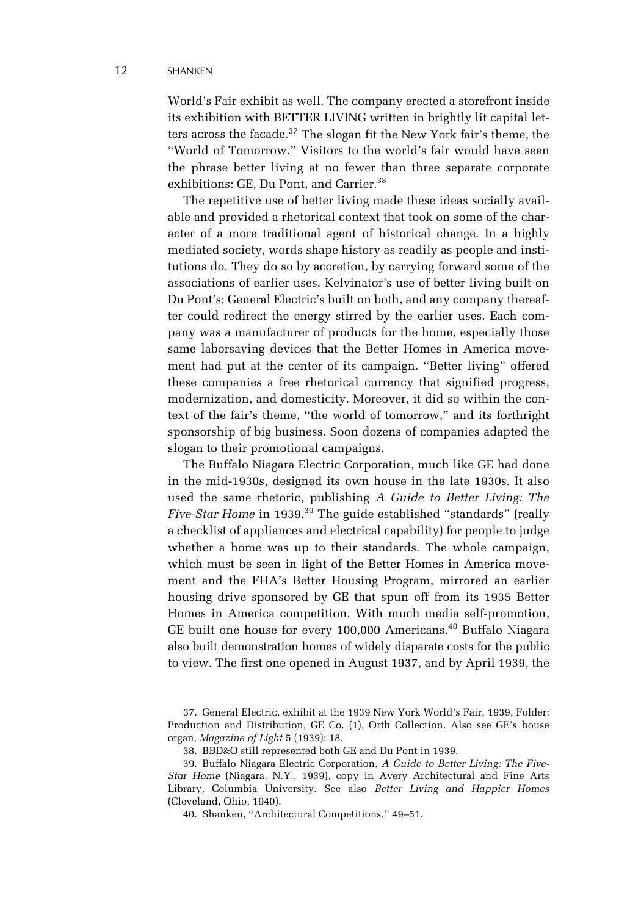World's Fair exhibit as well. The company erected a storefront inside its exhibition with BETTER LIVING written in brightly lit capital letters across the facade.<sup>37</sup> The slogan fit the New York fair's theme, the "World of Tomorrow." Visitors to the world's fair would have seen the phrase better living at no fewer than three separate corporate exhibitions: GE, Du Pont, and Carrier.<sup>38</sup>

The repetitive use of better living made these ideas socially available and provided a rhetorical context that took on some of the character of a more traditional agent of historical change. In a highly mediated society, words shape history as readily as people and institutions do. They do so by accretion, by carrying forward some of the associations of earlier uses. Kelvinator's use of better living built on Du Pont's; General Electric's built on both, and any company thereafter could redirect the energy stirred by the earlier uses. Each company was a manufacturer of products for the home, especially those same laborsaving devices that the Better Homes in America movement had put at the center of its campaign. "Better living" offered these companies a free rhetorical currency that signified progress, modernization, and domesticity. Moreover, it did so within the context of the fair's theme, "the world of tomorrow," and its forthright sponsorship of big business. Soon dozens of companies adapted the slogan to their promotional campaigns.

The Buffalo Niagara Electric Corporation, much like GE had done in the mid-1930s, designed its own house in the late 1930s. It also used the same rhetoric, publishing *A Guide to Better Living: The Five-Star Home* in 1939.<sup>39</sup> The guide established "standards" (really a checklist of appliances and electrical capability) for people to judge whether a home was up to their standards. The whole campaign, which must be seen in light of the Better Homes in America movement and the FHA's Better Housing Program, mirrored an earlier housing drive sponsored by GE that spun off from its 1935 Better Homes in America competition. With much media self-promotion, GE built one house for every 100,000 Americans.<sup>40</sup> Buffalo Niagara also built demonstration homes of widely disparate costs for the public to view. The first one opened in August 1937, and by April 1939, the

38. BBD&O still represented both GE and Du Pont in 1939.

39. Buffalo Niagara Electric Corporation, *A Guide to Better Living: The Five-Star Home* (Niagara, N.Y., 1939), copy in Avery Architectural and Fine Arts Library, Columbia University. See also *Better Living and Happier Homes* (Cleveland, Ohio, 1940).

40. Shanken, "Architectural Competitions," 49–51.

<sup>37.</sup> General Electric, exhibit at the 1939 New York World's Fair, 1939, Folder: Production and Distribution, GE Co. (1), Orth Collection. Also see GE's house organ, *Magazine of Light* 5 (1939): 18.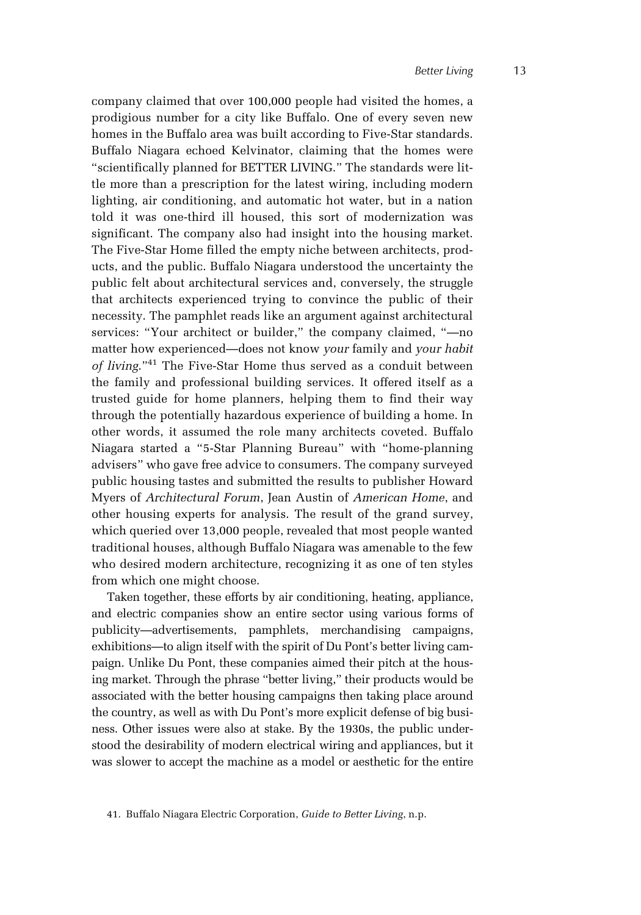company claimed that over 100,000 people had visited the homes, a prodigious number for a city like Buffalo. One of every seven new homes in the Buffalo area was built according to Five-Star standards. Buffalo Niagara echoed Kelvinator, claiming that the homes were "scientifically planned for BETTER LIVING." The standards were little more than a prescription for the latest wiring, including modern lighting, air conditioning, and automatic hot water, but in a nation told it was one-third ill housed, this sort of modernization was significant. The company also had insight into the housing market. The Five-Star Home filled the empty niche between architects, products, and the public. Buffalo Niagara understood the uncertainty the public felt about architectural services and, conversely, the struggle that architects experienced trying to convince the public of their necessity. The pamphlet reads like an argument against architectural services: "Your architect or builder," the company claimed, "—no matter how experienced—does not know *your* family and *your habit of living*."41 The Five-Star Home thus served as a conduit between the family and professional building services. It offered itself as a trusted guide for home planners, helping them to find their way through the potentially hazardous experience of building a home. In other words, it assumed the role many architects coveted. Buffalo Niagara started a "5-Star Planning Bureau" with "home-planning advisers" who gave free advice to consumers. The company surveyed public housing tastes and submitted the results to publisher Howard Myers of *Architectural Forum*, Jean Austin of *American Home*, and other housing experts for analysis. The result of the grand survey, which queried over 13,000 people, revealed that most people wanted traditional houses, although Buffalo Niagara was amenable to the few who desired modern architecture, recognizing it as one of ten styles from which one might choose.

Taken together, these efforts by air conditioning, heating, appliance, and electric companies show an entire sector using various forms of publicity—advertisements, pamphlets, merchandising campaigns, exhibitions—to align itself with the spirit of Du Pont's better living campaign. Unlike Du Pont, these companies aimed their pitch at the housing market. Through the phrase "better living," their products would be associated with the better housing campaigns then taking place around the country, as well as with Du Pont's more explicit defense of big business. Other issues were also at stake. By the 1930s, the public understood the desirability of modern electrical wiring and appliances, but it was slower to accept the machine as a model or aesthetic for the entire

<sup>41.</sup> Buffalo Niagara Electric Corporation, *Guide to Better Living*, n.p.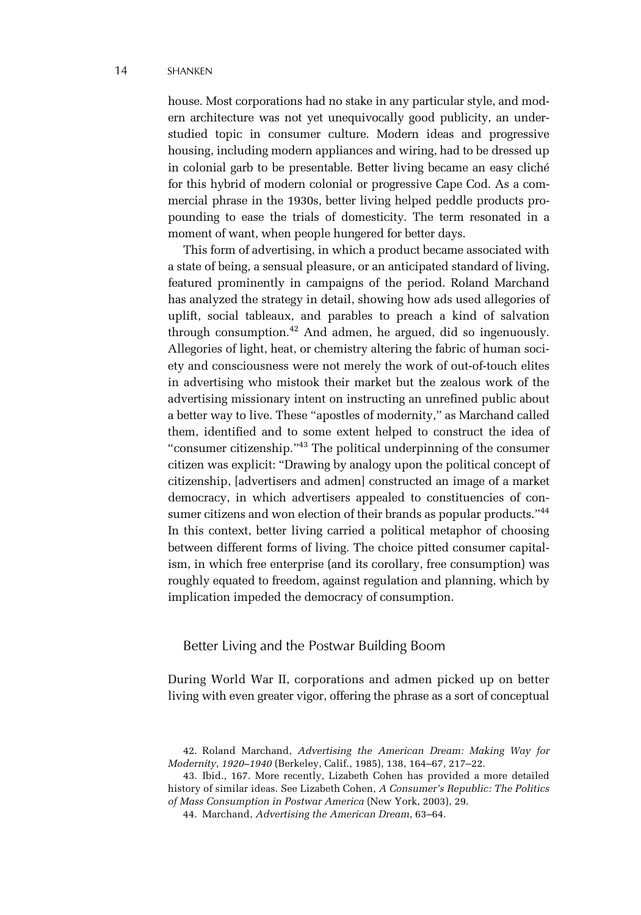#### 14 SHANKEN

house. Most corporations had no stake in any particular style, and modern architecture was not yet unequivocally good publicity, an understudied topic in consumer culture. Modern ideas and progressive housing, including modern appliances and wiring, had to be dressed up in colonial garb to be presentable. Better living became an easy cliché for this hybrid of modern colonial or progressive Cape Cod. As a commercial phrase in the 1930s, better living helped peddle products propounding to ease the trials of domesticity. The term resonated in a moment of want, when people hungered for better days.

This form of advertising, in which a product became associated with a state of being, a sensual pleasure, or an anticipated standard of living, featured prominently in campaigns of the period. Roland Marchand has analyzed the strategy in detail, showing how ads used allegories of uplift, social tableaux, and parables to preach a kind of salvation through consumption.42 And admen, he argued, did so ingenuously. Allegories of light, heat, or chemistry altering the fabric of human society and consciousness were not merely the work of out-of-touch elites in advertising who mistook their market but the zealous work of the advertising missionary intent on instructing an unrefined public about a better way to live. These "apostles of modernity," as Marchand called them, identified and to some extent helped to construct the idea of "consumer citizenship."43 The political underpinning of the consumer citizen was explicit: "Drawing by analogy upon the political concept of citizenship, [advertisers and admen] constructed an image of a market democracy, in which advertisers appealed to constituencies of consumer citizens and won election of their brands as popular products."<sup>44</sup> In this context, better living carried a political metaphor of choosing between different forms of living. The choice pitted consumer capitalism, in which free enterprise (and its corollary, free consumption) was roughly equated to freedom, against regulation and planning, which by implication impeded the democracy of consumption.

# Better Living and the Postwar Building Boom

During World War II, corporations and admen picked up on better living with even greater vigor, offering the phrase as a sort of conceptual

<sup>42.</sup> Roland Marchand, *Advertising the American Dream: Making Way for Modernity*, *1920–1940* (Berkeley, Calif., 1985), 138, 164–67, 217–22.

<sup>43.</sup> Ibid., 167. More recently, Lizabeth Cohen has provided a more detailed history of similar ideas. See Lizabeth Cohen, *A Consumer's Republic: The Politics of Mass Consumption in Postwar America* (New York, 2003), 29.

<sup>44.</sup> Marchand, *Advertising the American Dream*, 63–64.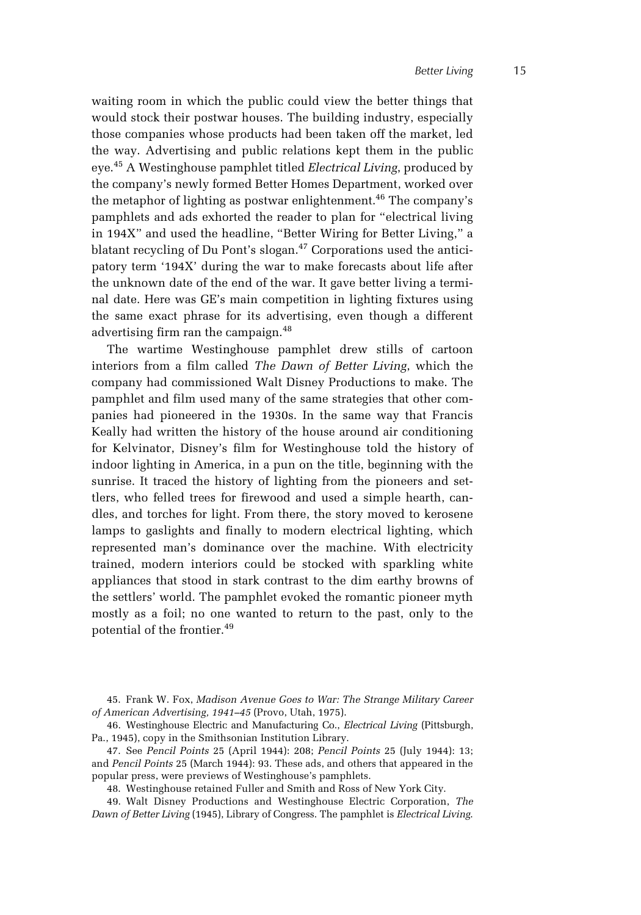waiting room in which the public could view the better things that would stock their postwar houses. The building industry, especially those companies whose products had been taken off the market, led the way. Advertising and public relations kept them in the public eye.45 A Westinghouse pamphlet titled *Electrical Living*, produced by the company's newly formed Better Homes Department, worked over the metaphor of lighting as postwar enlightenment.<sup>46</sup> The company's pamphlets and ads exhorted the reader to plan for "electrical living in 194X" and used the headline, "Better Wiring for Better Living," a blatant recycling of Du Pont's slogan.<sup>47</sup> Corporations used the anticipatory term '194X' during the war to make forecasts about life after the unknown date of the end of the war. It gave better living a terminal date. Here was GE's main competition in lighting fixtures using the same exact phrase for its advertising, even though a different advertising firm ran the campaign.<sup>48</sup>

The wartime Westinghouse pamphlet drew stills of cartoon interiors from a film called *The Dawn of Better Living*, which the company had commissioned Walt Disney Productions to make. The pamphlet and film used many of the same strategies that other companies had pioneered in the 1930s. In the same way that Francis Keally had written the history of the house around air conditioning for Kelvinator, Disney's film for Westinghouse told the history of indoor lighting in America, in a pun on the title, beginning with the sunrise. It traced the history of lighting from the pioneers and settlers, who felled trees for firewood and used a simple hearth, candles, and torches for light. From there, the story moved to kerosene lamps to gaslights and finally to modern electrical lighting, which represented man's dominance over the machine. With electricity trained, modern interiors could be stocked with sparkling white appliances that stood in stark contrast to the dim earthy browns of the settlers' world. The pamphlet evoked the romantic pioneer myth mostly as a foil; no one wanted to return to the past, only to the potential of the frontier.<sup>49</sup>

47. See *Pencil Points* 25 (April 1944): 208; *Pencil Points* 25 (July 1944): 13; and *Pencil Points* 25 (March 1944): 93. These ads, and others that appeared in the popular press, were previews of Westinghouse's pamphlets.

48. Westinghouse retained Fuller and Smith and Ross of New York City.

49. Walt Disney Productions and Westinghouse Electric Corporation, *The Dawn of Better Living* (1945), Library of Congress. The pamphlet is *Electrical Living*.

<sup>45.</sup> Frank W. Fox, *Madison Avenue Goes to War: The Strange Military Career of American Advertising, 1941–45* (Provo, Utah, 1975).

<sup>46.</sup> Westinghouse Electric and Manufacturing Co., *Electrical Living* (Pittsburgh, Pa., 1945), copy in the Smithsonian Institution Library.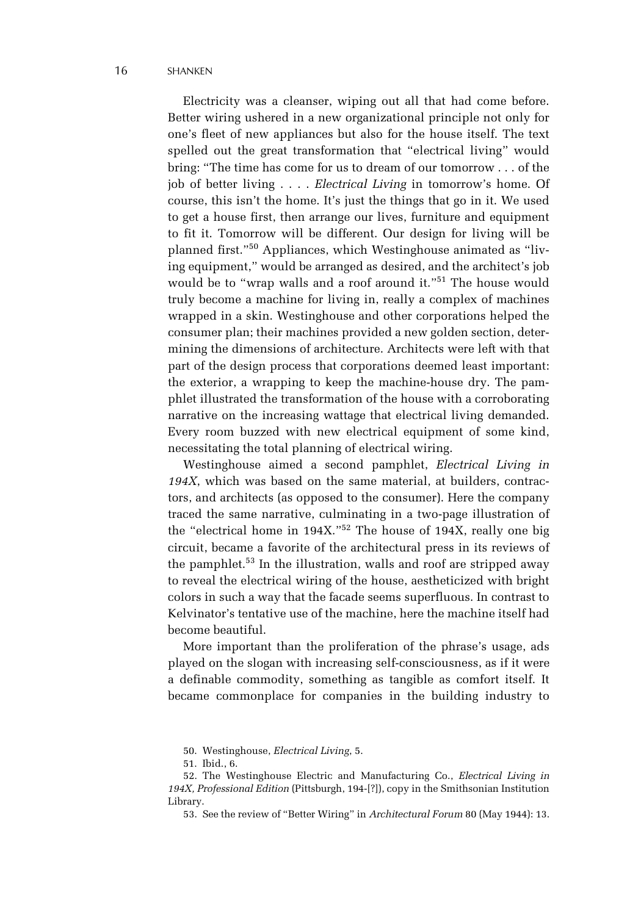Electricity was a cleanser, wiping out all that had come before. Better wiring ushered in a new organizational principle not only for one's fleet of new appliances but also for the house itself. The text spelled out the great transformation that "electrical living" would bring: "The time has come for us to dream of our tomorrow . . . of the job of better living . . . . *Electrical Living* in tomorrow's home. Of course, this isn't the home. It's just the things that go in it. We used to get a house first, then arrange our lives, furniture and equipment to fit it. Tomorrow will be different. Our design for living will be planned first."50 Appliances, which Westinghouse animated as "living equipment," would be arranged as desired, and the architect's job would be to "wrap walls and a roof around it."<sup>51</sup> The house would truly become a machine for living in, really a complex of machines wrapped in a skin. Westinghouse and other corporations helped the consumer plan; their machines provided a new golden section, determining the dimensions of architecture. Architects were left with that part of the design process that corporations deemed least important: the exterior, a wrapping to keep the machine-house dry. The pamphlet illustrated the transformation of the house with a corroborating narrative on the increasing wattage that electrical living demanded. Every room buzzed with new electrical equipment of some kind, necessitating the total planning of electrical wiring.

Westinghouse aimed a second pamphlet, *Electrical Living in 194X*, which was based on the same material, at builders, contractors, and architects (as opposed to the consumer). Here the company traced the same narrative, culminating in a two-page illustration of the "electrical home in 194X."52 The house of 194X, really one big circuit, became a favorite of the architectural press in its reviews of the pamphlet.<sup>53</sup> In the illustration, walls and roof are stripped away to reveal the electrical wiring of the house, aestheticized with bright colors in such a way that the facade seems superfluous. In contrast to Kelvinator's tentative use of the machine, here the machine itself had become beautiful.

More important than the proliferation of the phrase's usage, ads played on the slogan with increasing self-consciousness, as if it were a definable commodity, something as tangible as comfort itself. It became commonplace for companies in the building industry to

<sup>50.</sup> Westinghouse, *Electrical Living*, 5.

<sup>51.</sup> Ibid., 6.

<sup>52.</sup> The Westinghouse Electric and Manufacturing Co., *Electrical Living in 194X, Professional Edition* (Pittsburgh, 194-[?]), copy in the Smithsonian Institution Library.

<sup>53.</sup> See the review of "Better Wiring" in *Architectural Forum* 80 (May 1944): 13.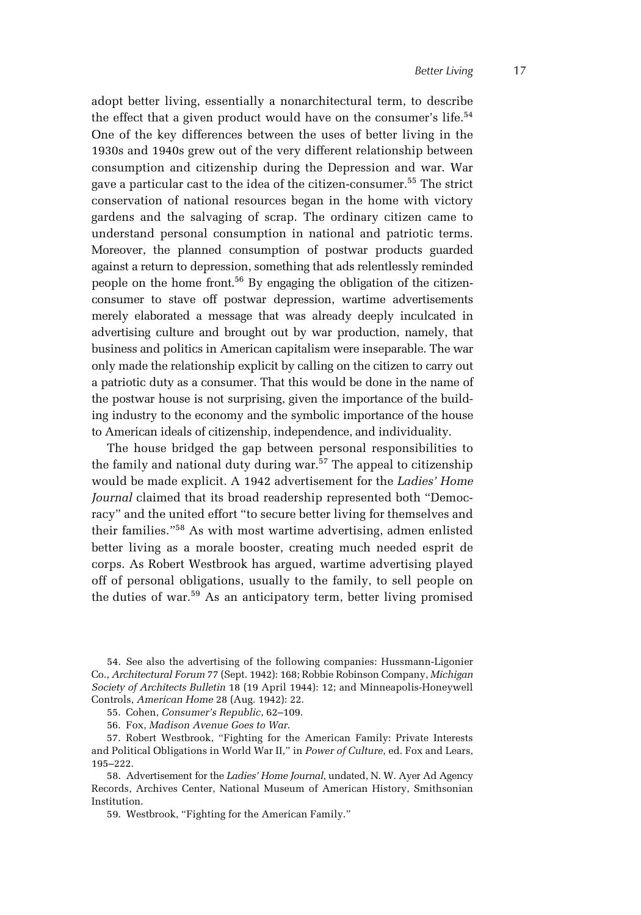adopt better living, essentially a nonarchitectural term, to describe the effect that a given product would have on the consumer's life. $54$ One of the key differences between the uses of better living in the 1930s and 1940s grew out of the very different relationship between consumption and citizenship during the Depression and war. War gave a particular cast to the idea of the citizen-consumer.<sup>55</sup> The strict conservation of national resources began in the home with victory gardens and the salvaging of scrap. The ordinary citizen came to understand personal consumption in national and patriotic terms. Moreover, the planned consumption of postwar products guarded against a return to depression, something that ads relentlessly reminded people on the home front.<sup>56</sup> By engaging the obligation of the citizenconsumer to stave off postwar depression, wartime advertisements merely elaborated a message that was already deeply inculcated in advertising culture and brought out by war production, namely, that business and politics in American capitalism were inseparable. The war only made the relationship explicit by calling on the citizen to carry out a patriotic duty as a consumer. That this would be done in the name of the postwar house is not surprising, given the importance of the building industry to the economy and the symbolic importance of the house to American ideals of citizenship, independence, and individuality.

The house bridged the gap between personal responsibilities to the family and national duty during war.<sup>57</sup> The appeal to citizenship would be made explicit. A 1942 advertisement for the *Ladies' Home Journal* claimed that its broad readership represented both "Democracy" and the united effort "to secure better living for themselves and their families."58 As with most wartime advertising, admen enlisted better living as a morale booster, creating much needed esprit de corps. As Robert Westbrook has argued, wartime advertising played off of personal obligations, usually to the family, to sell people on the duties of war.<sup>59</sup> As an anticipatory term, better living promised

56. Fox, *Madison Avenue Goes to War*.

<sup>54.</sup> See also the advertising of the following companies: Hussmann-Ligonier Co., *Architectural Forum* 77 (Sept. 1942): 168; Robbie Robinson Company, *Michigan Society of Architects Bulletin* 18 (19 April 1944): 12; and Minneapolis-Honeywell Controls, *American Home* 28 (Aug. 1942): 22.

<sup>55.</sup> Cohen, *Consumer's Republic*, 62–109.

<sup>57.</sup> Robert Westbrook, "Fighting for the American Family: Private Interests and Political Obligations in World War II," in *Power of Culture*, ed. Fox and Lears, 195–222.

<sup>58.</sup> Advertisement for the *Ladies' Home Journal*, undated, N. W. Ayer Ad Agency Records, Archives Center, National Museum of American History, Smithsonian Institution.

<sup>59.</sup> Westbrook, "Fighting for the American Family."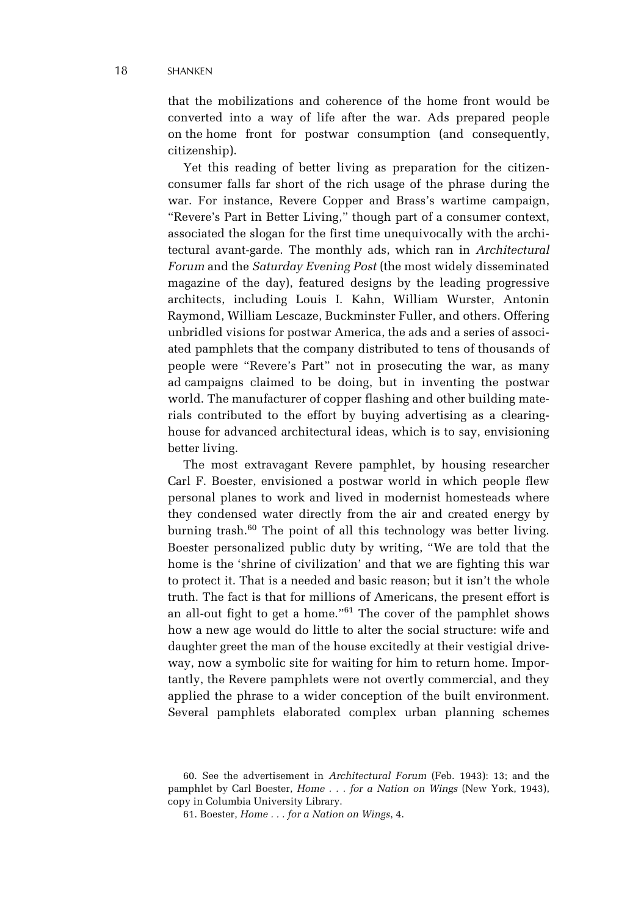that the mobilizations and coherence of the home front would be converted into a way of life after the war. Ads prepared people on the home front for postwar consumption (and consequently, citizenship).

Yet this reading of better living as preparation for the citizenconsumer falls far short of the rich usage of the phrase during the war. For instance, Revere Copper and Brass's wartime campaign, "Revere's Part in Better Living," though part of a consumer context, associated the slogan for the first time unequivocally with the architectural avant-garde. The monthly ads, which ran in *Architectural Forum* and the *Saturday Evening Post* (the most widely disseminated magazine of the day), featured designs by the leading progressive architects, including Louis I. Kahn, William Wurster, Antonin Raymond, William Lescaze, Buckminster Fuller, and others. Offering unbridled visions for postwar America, the ads and a series of associated pamphlets that the company distributed to tens of thousands of people were "Revere's Part" not in prosecuting the war, as many ad campaigns claimed to be doing, but in inventing the postwar world. The manufacturer of copper flashing and other building materials contributed to the effort by buying advertising as a clearinghouse for advanced architectural ideas, which is to say, envisioning better living.

The most extravagant Revere pamphlet, by housing researcher Carl F. Boester, envisioned a postwar world in which people flew personal planes to work and lived in modernist homesteads where they condensed water directly from the air and created energy by burning trash.<sup>60</sup> The point of all this technology was better living. Boester personalized public duty by writing, "We are told that the home is the 'shrine of civilization' and that we are fighting this war to protect it. That is a needed and basic reason; but it isn't the whole truth. The fact is that for millions of Americans, the present effort is an all-out fight to get a home."61 The cover of the pamphlet shows how a new age would do little to alter the social structure: wife and daughter greet the man of the house excitedly at their vestigial driveway, now a symbolic site for waiting for him to return home. Importantly, the Revere pamphlets were not overtly commercial, and they applied the phrase to a wider conception of the built environment. Several pamphlets elaborated complex urban planning schemes

<sup>60.</sup> See the advertisement in *Architectural Forum* (Feb. 1943): 13; and the pamphlet by Carl Boester, *Home . . . for a Nation on Wings* (New York, 1943), copy in Columbia University Library.

<sup>61.</sup> Boester, *Home . . . for a Nation on Wings*, 4.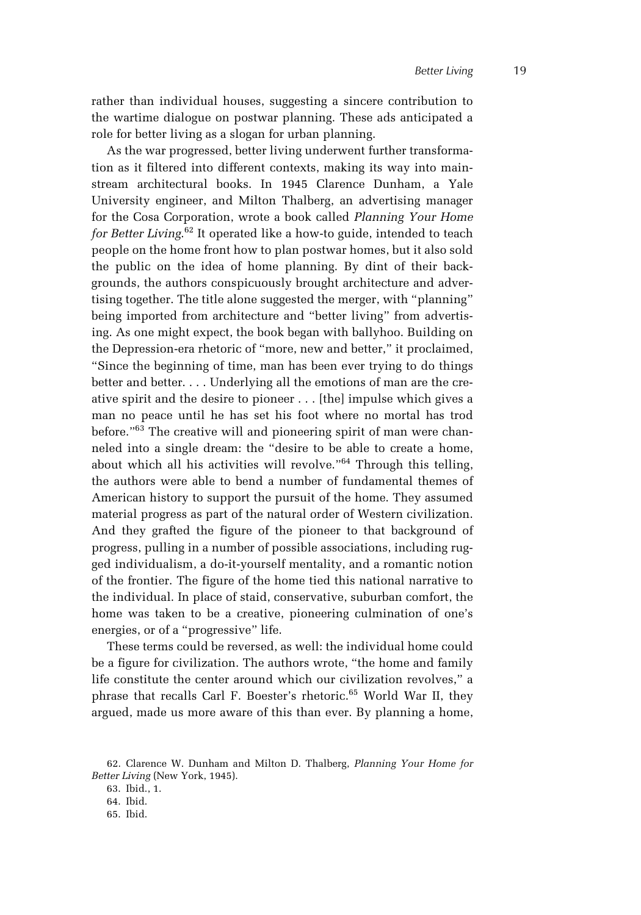rather than individual houses, suggesting a sincere contribution to the wartime dialogue on postwar planning. These ads anticipated a role for better living as a slogan for urban planning.

As the war progressed, better living underwent further transformation as it filtered into different contexts, making its way into mainstream architectural books. In 1945 Clarence Dunham, a Yale University engineer, and Milton Thalberg, an advertising manager for the Cosa Corporation, wrote a book called *Planning Your Home for Better Living*. 62 It operated like a how-to guide, intended to teach people on the home front how to plan postwar homes, but it also sold the public on the idea of home planning. By dint of their backgrounds, the authors conspicuously brought architecture and advertising together. The title alone suggested the merger, with "planning" being imported from architecture and "better living" from advertising. As one might expect, the book began with ballyhoo. Building on the Depression-era rhetoric of "more, new and better," it proclaimed, "Since the beginning of time, man has been ever trying to do things better and better. . . . Underlying all the emotions of man are the creative spirit and the desire to pioneer . . . [the] impulse which gives a man no peace until he has set his foot where no mortal has trod before."<sup>63</sup> The creative will and pioneering spirit of man were channeled into a single dream: the "desire to be able to create a home, about which all his activities will revolve."64 Through this telling, the authors were able to bend a number of fundamental themes of American history to support the pursuit of the home. They assumed material progress as part of the natural order of Western civilization. And they grafted the figure of the pioneer to that background of progress, pulling in a number of possible associations, including rugged individualism, a do-it-yourself mentality, and a romantic notion of the frontier. The figure of the home tied this national narrative to the individual. In place of staid, conservative, suburban comfort, the home was taken to be a creative, pioneering culmination of one's energies, or of a "progressive" life.

These terms could be reversed, as well: the individual home could be a figure for civilization. The authors wrote, "the home and family life constitute the center around which our civilization revolves," a phrase that recalls Carl F. Boester's rhetoric.<sup>65</sup> World War II, they argued, made us more aware of this than ever. By planning a home,

63. Ibid., 1.

65. Ibid.

<sup>62.</sup> Clarence W. Dunham and Milton D. Thalberg, *Planning Your Home for Better Living* (New York, 1945).

<sup>64.</sup> Ibid.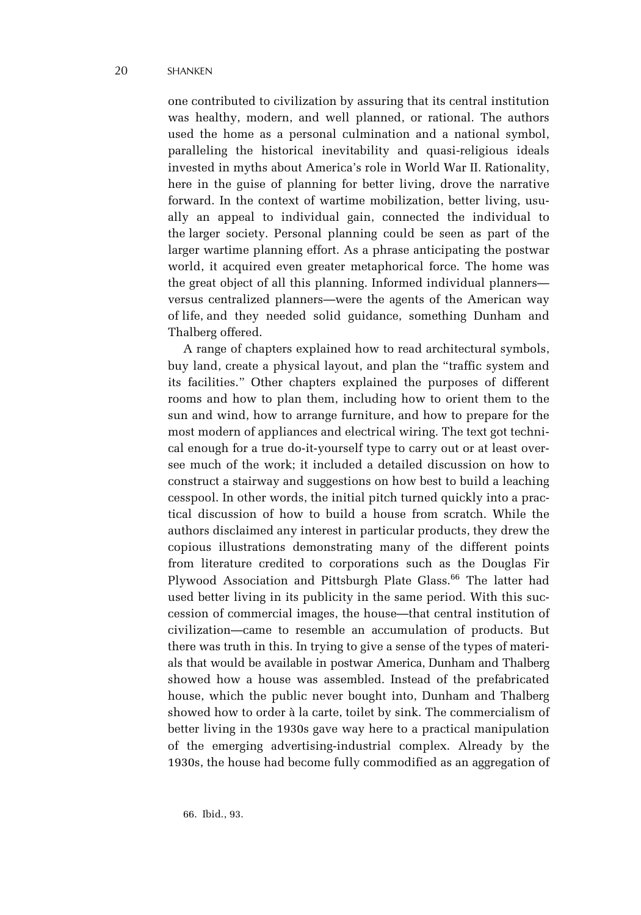one contributed to civilization by assuring that its central institution was healthy, modern, and well planned, or rational. The authors used the home as a personal culmination and a national symbol, paralleling the historical inevitability and quasi-religious ideals invested in myths about America's role in World War II. Rationality, here in the guise of planning for better living, drove the narrative forward. In the context of wartime mobilization, better living, usually an appeal to individual gain, connected the individual to the larger society. Personal planning could be seen as part of the larger wartime planning effort. As a phrase anticipating the postwar world, it acquired even greater metaphorical force. The home was the great object of all this planning. Informed individual planners versus centralized planners—were the agents of the American way of life, and they needed solid guidance, something Dunham and Thalberg offered.

A range of chapters explained how to read architectural symbols, buy land, create a physical layout, and plan the "traffic system and its facilities." Other chapters explained the purposes of different rooms and how to plan them, including how to orient them to the sun and wind, how to arrange furniture, and how to prepare for the most modern of appliances and electrical wiring. The text got technical enough for a true do-it-yourself type to carry out or at least oversee much of the work; it included a detailed discussion on how to construct a stairway and suggestions on how best to build a leaching cesspool. In other words, the initial pitch turned quickly into a practical discussion of how to build a house from scratch. While the authors disclaimed any interest in particular products, they drew the copious illustrations demonstrating many of the different points from literature credited to corporations such as the Douglas Fir Plywood Association and Pittsburgh Plate Glass.<sup>66</sup> The latter had used better living in its publicity in the same period. With this succession of commercial images, the house—that central institution of civilization—came to resemble an accumulation of products. But there was truth in this. In trying to give a sense of the types of materials that would be available in postwar America, Dunham and Thalberg showed how a house was assembled. Instead of the prefabricated house, which the public never bought into, Dunham and Thalberg showed how to order à la carte, toilet by sink. The commercialism of better living in the 1930s gave way here to a practical manipulation of the emerging advertising-industrial complex. Already by the 1930s, the house had become fully commodified as an aggregation of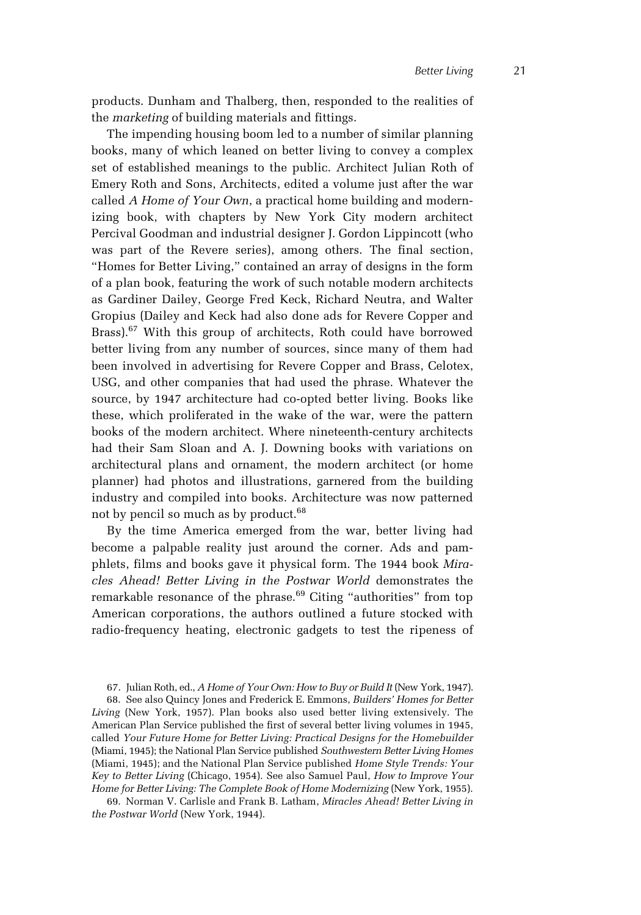products. Dunham and Thalberg, then, responded to the realities of the *marketing* of building materials and fittings.

The impending housing boom led to a number of similar planning books, many of which leaned on better living to convey a complex set of established meanings to the public. Architect Julian Roth of Emery Roth and Sons, Architects, edited a volume just after the war called *A Home of Your Own*, a practical home building and modernizing book, with chapters by New York City modern architect Percival Goodman and industrial designer J. Gordon Lippincott (who was part of the Revere series), among others. The final section, "Homes for Better Living," contained an array of designs in the form of a plan book, featuring the work of such notable modern architects as Gardiner Dailey, George Fred Keck, Richard Neutra, and Walter Gropius (Dailey and Keck had also done ads for Revere Copper and Brass).<sup>67</sup> With this group of architects, Roth could have borrowed better living from any number of sources, since many of them had been involved in advertising for Revere Copper and Brass, Celotex, USG, and other companies that had used the phrase. Whatever the source, by 1947 architecture had co-opted better living. Books like these, which proliferated in the wake of the war, were the pattern books of the modern architect. Where nineteenth-century architects had their Sam Sloan and A. J. Downing books with variations on architectural plans and ornament, the modern architect (or home planner) had photos and illustrations, garnered from the building industry and compiled into books. Architecture was now patterned not by pencil so much as by product.<sup>68</sup>

By the time America emerged from the war, better living had become a palpable reality just around the corner. Ads and pamphlets, films and books gave it physical form. The 1944 book *Miracles Ahead! Better Living in the Postwar World* demonstrates the remarkable resonance of the phrase.<sup>69</sup> Citing "authorities" from top American corporations, the authors outlined a future stocked with radio-frequency heating, electronic gadgets to test the ripeness of

69. Norman V. Carlisle and Frank B. Latham, *Miracles Ahead! Better Living in the Postwar World* (New York, 1944).

<sup>67.</sup> Julian Roth, ed., *A Home of Your Own: How to Buy or Build It* (New York, 1947).

<sup>68.</sup> See also Quincy Jones and Frederick E. Emmons, *Builders' Homes for Better Living* (New York, 1957). Plan books also used better living extensively. The American Plan Service published the first of several better living volumes in 1945, called *Your Future Home for Better Living: Practical Designs for the Homebuilder* (Miami, 1945); the National Plan Service published *Southwestern Better Living Homes* (Miami, 1945); and the National Plan Service published *Home Style Trends: Your Key to Better Living* (Chicago, 1954). See also Samuel Paul, *How to Improve Your Home for Better Living: The Complete Book of Home Modernizing* (New York, 1955).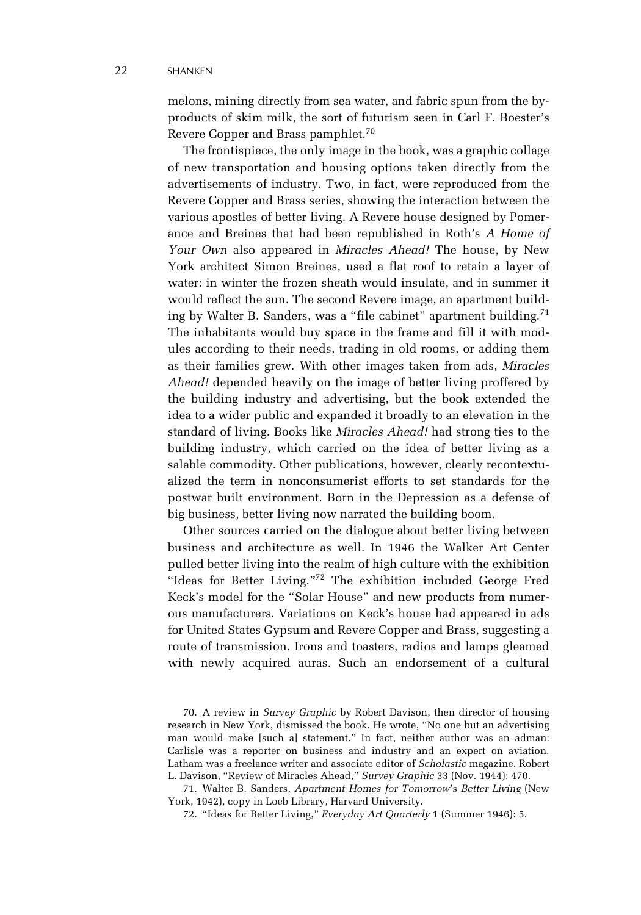melons, mining directly from sea water, and fabric spun from the byproducts of skim milk, the sort of futurism seen in Carl F. Boester's Revere Copper and Brass pamphlet.<sup>70</sup>

The frontispiece, the only image in the book, was a graphic collage of new transportation and housing options taken directly from the advertisements of industry. Two, in fact, were reproduced from the Revere Copper and Brass series, showing the interaction between the various apostles of better living. A Revere house designed by Pomerance and Breines that had been republished in Roth's *A Home of Your Own* also appeared in *Miracles Ahead!* The house, by New York architect Simon Breines, used a flat roof to retain a layer of water: in winter the frozen sheath would insulate, and in summer it would reflect the sun. The second Revere image, an apartment building by Walter B. Sanders, was a "file cabinet" apartment building.<sup>71</sup> The inhabitants would buy space in the frame and fill it with modules according to their needs, trading in old rooms, or adding them as their families grew. With other images taken from ads, *Miracles Ahead!* depended heavily on the image of better living proffered by the building industry and advertising, but the book extended the idea to a wider public and expanded it broadly to an elevation in the standard of living. Books like *Miracles Ahead!* had strong ties to the building industry, which carried on the idea of better living as a salable commodity. Other publications, however, clearly recontextualized the term in nonconsumerist efforts to set standards for the postwar built environment. Born in the Depression as a defense of big business, better living now narrated the building boom.

Other sources carried on the dialogue about better living between business and architecture as well. In 1946 the Walker Art Center pulled better living into the realm of high culture with the exhibition "Ideas for Better Living."72 The exhibition included George Fred Keck's model for the "Solar House" and new products from numerous manufacturers. Variations on Keck's house had appeared in ads for United States Gypsum and Revere Copper and Brass, suggesting a route of transmission. Irons and toasters, radios and lamps gleamed with newly acquired auras. Such an endorsement of a cultural

71. Walter B. Sanders, *Apartment Homes for Tomorrow*'s *Better Living* (New York, 1942), copy in Loeb Library, Harvard University.

72. "Ideas for Better Living," *Everyday Art Quarterly* 1 (Summer 1946): 5.

<sup>70.</sup> A review in *Survey Graphic* by Robert Davison, then director of housing research in New York, dismissed the book. He wrote, "No one but an advertising man would make [such a] statement." In fact, neither author was an adman: Carlisle was a reporter on business and industry and an expert on aviation. Latham was a freelance writer and associate editor of *Scholastic* magazine. Robert L. Davison, "Review of Miracles Ahead," *Survey Graphic* 33 (Nov. 1944): 470.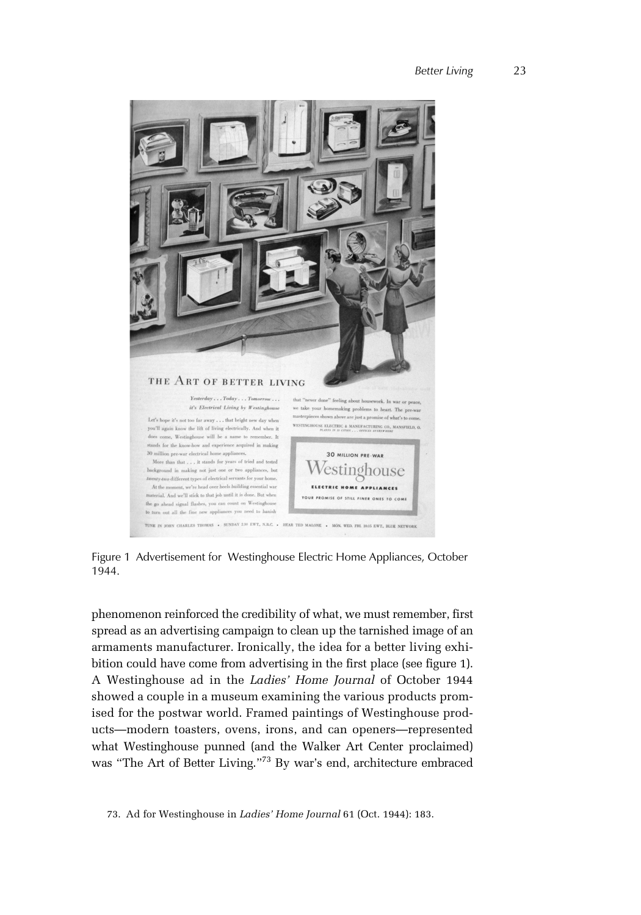

Figure 1 Advertisement for Westinghouse Electric Home Appliances, October 1944.

phenomenon reinforced the credibility of what, we must remember, first spread as an advertising campaign to clean up the tarnished image of an armaments manufacturer. Ironically, the idea for a better living exhibition could have come from advertising in the first place (see figure 1). A Westinghouse ad in the *Ladies' Home Journal* of October 1944 showed a couple in a museum examining the various products promised for the postwar world. Framed paintings of Westinghouse products—modern toasters, ovens, irons, and can openers—represented what Westinghouse punned (and the Walker Art Center proclaimed) was "The Art of Better Living."73 By war's end, architecture embraced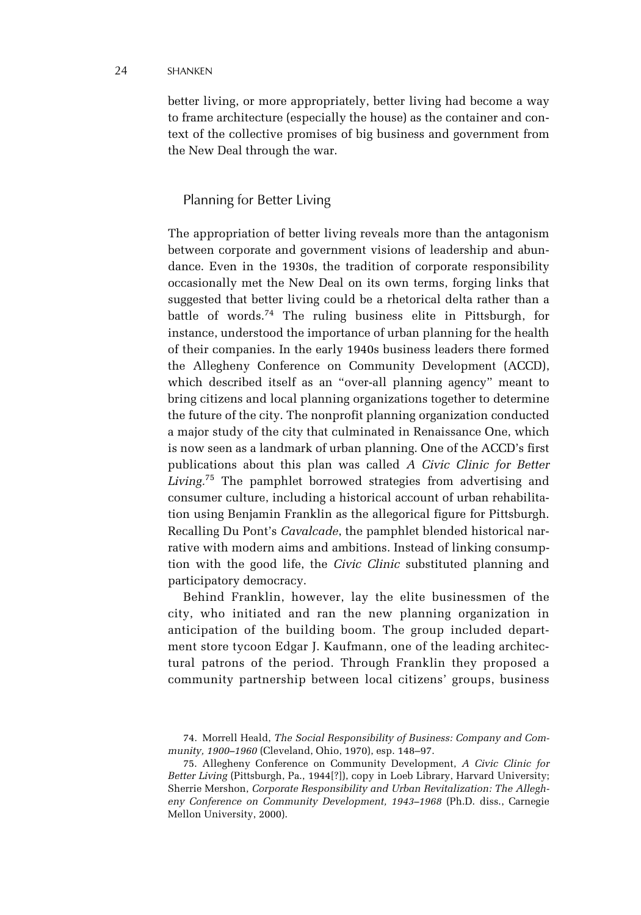#### 24 SHANKEN

better living, or more appropriately, better living had become a way to frame architecture (especially the house) as the container and context of the collective promises of big business and government from the New Deal through the war.

# Planning for Better Living

The appropriation of better living reveals more than the antagonism between corporate and government visions of leadership and abundance. Even in the 1930s, the tradition of corporate responsibility occasionally met the New Deal on its own terms, forging links that suggested that better living could be a rhetorical delta rather than a battle of words.74 The ruling business elite in Pittsburgh, for instance, understood the importance of urban planning for the health of their companies. In the early 1940s business leaders there formed the Allegheny Conference on Community Development (ACCD), which described itself as an "over-all planning agency" meant to bring citizens and local planning organizations together to determine the future of the city. The nonprofit planning organization conducted a major study of the city that culminated in Renaissance One, which is now seen as a landmark of urban planning. One of the ACCD's first publications about this plan was called *A Civic Clinic for Better Living.*75 The pamphlet borrowed strategies from advertising and consumer culture, including a historical account of urban rehabilitation using Benjamin Franklin as the allegorical figure for Pittsburgh. Recalling Du Pont's *Cavalcade*, the pamphlet blended historical narrative with modern aims and ambitions. Instead of linking consumption with the good life, the *Civic Clinic* substituted planning and participatory democracy.

Behind Franklin, however, lay the elite businessmen of the city, who initiated and ran the new planning organization in anticipation of the building boom. The group included department store tycoon Edgar J. Kaufmann, one of the leading architectural patrons of the period. Through Franklin they proposed a community partnership between local citizens' groups, business

<sup>74.</sup> Morrell Heald, *The Social Responsibility of Business: Company and Community, 1900–1960* (Cleveland, Ohio, 1970), esp. 148–97.

<sup>75.</sup> Allegheny Conference on Community Development, *A Civic Clinic for Better Living* (Pittsburgh, Pa., 1944[?]), copy in Loeb Library, Harvard University; Sherrie Mershon, *Corporate Responsibility and Urban Revitalization: The Allegheny Conference on Community Development, 1943–1968* (Ph.D. diss., Carnegie Mellon University, 2000).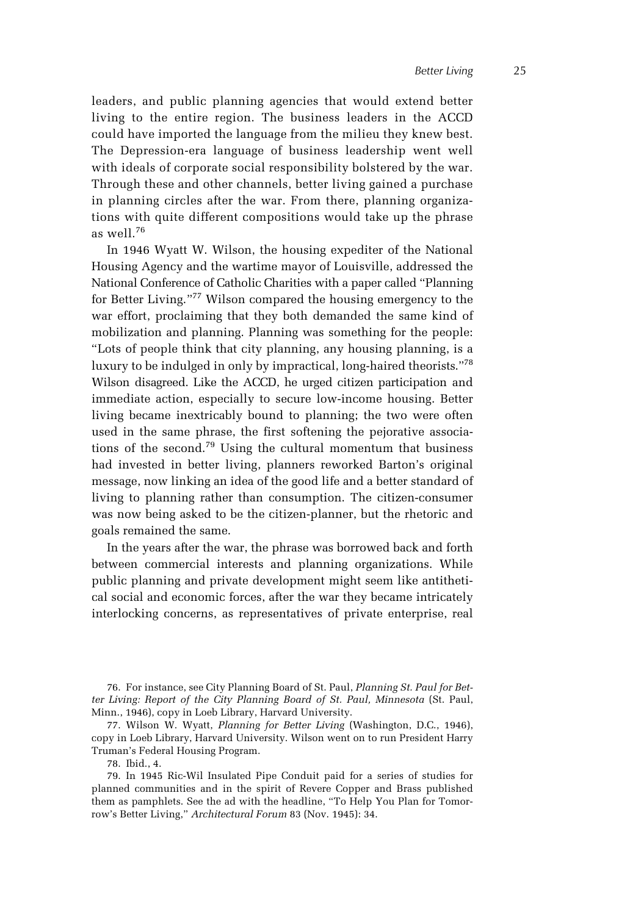leaders, and public planning agencies that would extend better living to the entire region. The business leaders in the ACCD could have imported the language from the milieu they knew best. The Depression-era language of business leadership went well with ideals of corporate social responsibility bolstered by the war. Through these and other channels, better living gained a purchase in planning circles after the war. From there, planning organizations with quite different compositions would take up the phrase as well.<sup>76</sup>

In 1946 Wyatt W. Wilson, the housing expediter of the National Housing Agency and the wartime mayor of Louisville, addressed the National Conference of Catholic Charities with a paper called "Planning for Better Living."<sup>77</sup> Wilson compared the housing emergency to the war effort, proclaiming that they both demanded the same kind of mobilization and planning. Planning was something for the people: "Lots of people think that city planning, any housing planning, is a luxury to be indulged in only by impractical, long-haired theorists."78 Wilson disagreed. Like the ACCD, he urged citizen participation and immediate action, especially to secure low-income housing. Better living became inextricably bound to planning; the two were often used in the same phrase, the first softening the pejorative associations of the second.<sup>79</sup> Using the cultural momentum that business had invested in better living, planners reworked Barton's original message, now linking an idea of the good life and a better standard of living to planning rather than consumption. The citizen-consumer was now being asked to be the citizen-planner, but the rhetoric and goals remained the same.

In the years after the war, the phrase was borrowed back and forth between commercial interests and planning organizations. While public planning and private development might seem like antithetical social and economic forces, after the war they became intricately interlocking concerns, as representatives of private enterprise, real

76. For instance, see City Planning Board of St. Paul, *Planning St. Paul for Better Living: Report of the City Planning Board of St. Paul, Minnesota* (St. Paul, Minn., 1946), copy in Loeb Library, Harvard University.

77. Wilson W. Wyatt, *Planning for Better Living* (Washington, D.C., 1946), copy in Loeb Library, Harvard University. Wilson went on to run President Harry Truman's Federal Housing Program.

78. Ibid., 4.

79. In 1945 Ric-Wil Insulated Pipe Conduit paid for a series of studies for planned communities and in the spirit of Revere Copper and Brass published them as pamphlets. See the ad with the headline, "To Help You Plan for Tomorrow's Better Living," *Architectural Forum* 83 (Nov. 1945): 34.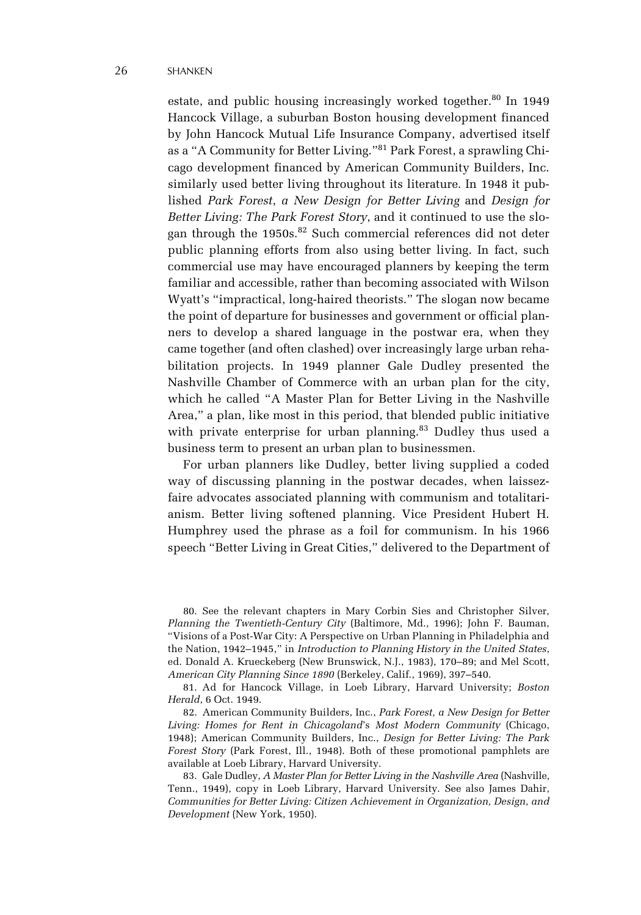estate, and public housing increasingly worked together.<sup>80</sup> In 1949 Hancock Village, a suburban Boston housing development financed by John Hancock Mutual Life Insurance Company, advertised itself as a "A Community for Better Living."81 Park Forest, a sprawling Chicago development financed by American Community Builders, Inc. similarly used better living throughout its literature. In 1948 it published *Park Forest*, *a New Design for Better Living* and *Design for Better Living: The Park Forest Story*, and it continued to use the slogan through the  $1950s$ .<sup>82</sup> Such commercial references did not deter public planning efforts from also using better living. In fact, such commercial use may have encouraged planners by keeping the term familiar and accessible, rather than becoming associated with Wilson Wyatt's "impractical, long-haired theorists." The slogan now became the point of departure for businesses and government or official planners to develop a shared language in the postwar era, when they came together (and often clashed) over increasingly large urban rehabilitation projects. In 1949 planner Gale Dudley presented the Nashville Chamber of Commerce with an urban plan for the city, which he called "A Master Plan for Better Living in the Nashville Area," a plan, like most in this period, that blended public initiative with private enterprise for urban planning.<sup>83</sup> Dudley thus used a business term to present an urban plan to businessmen.

For urban planners like Dudley, better living supplied a coded way of discussing planning in the postwar decades, when laissezfaire advocates associated planning with communism and totalitarianism. Better living softened planning. Vice President Hubert H. Humphrey used the phrase as a foil for communism. In his 1966 speech "Better Living in Great Cities," delivered to the Department of

80. See the relevant chapters in Mary Corbin Sies and Christopher Silver, *Planning the Twentieth-Century City* (Baltimore, Md., 1996); John F. Bauman, "Visions of a Post-War City: A Perspective on Urban Planning in Philadelphia and the Nation, 1942–1945," in *Introduction to Planning History in the United States*, ed. Donald A. Krueckeberg (New Brunswick, N.J., 1983), 170–89; and Mel Scott, *American City Planning Since 1890* (Berkeley, Calif., 1969), 397–540.

81. Ad for Hancock Village, in Loeb Library, Harvard University; *Boston Herald*, 6 Oct. 1949.

82. American Community Builders, Inc., *Park Forest, a New Design for Better Living: Homes for Rent in Chicagoland*'s *Most Modern Community* (Chicago, 1948); American Community Builders, Inc., *Design for Better Living: The Park Forest Story* (Park Forest, Ill., 1948). Both of these promotional pamphlets are available at Loeb Library, Harvard University.

83. Gale Dudley, *A Master Plan for Better Living in the Nashville Area* (Nashville, Tenn., 1949), copy in Loeb Library, Harvard University. See also James Dahir, *Communities for Better Living: Citizen Achievement in Organization, Design, and Development* (New York, 1950).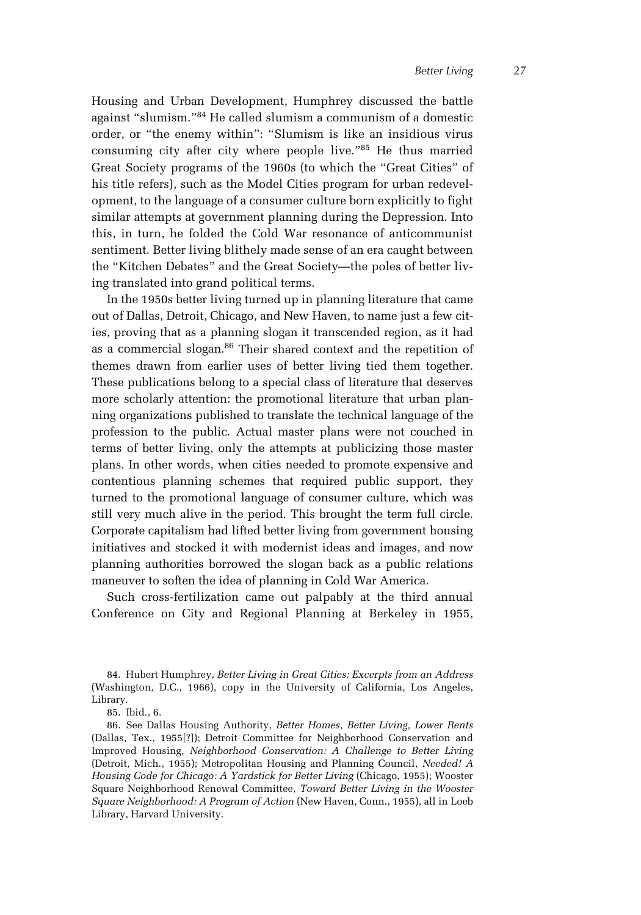Housing and Urban Development, Humphrey discussed the battle against "slumism."84 He called slumism a communism of a domestic order, or "the enemy within": "Slumism is like an insidious virus consuming city after city where people live."85 He thus married Great Society programs of the 1960s (to which the "Great Cities" of his title refers), such as the Model Cities program for urban redevelopment, to the language of a consumer culture born explicitly to fight similar attempts at government planning during the Depression. Into this, in turn, he folded the Cold War resonance of anticommunist sentiment. Better living blithely made sense of an era caught between the "Kitchen Debates" and the Great Society—the poles of better living translated into grand political terms.

In the 1950s better living turned up in planning literature that came out of Dallas, Detroit, Chicago, and New Haven, to name just a few cities, proving that as a planning slogan it transcended region, as it had as a commercial slogan.<sup>86</sup> Their shared context and the repetition of themes drawn from earlier uses of better living tied them together. These publications belong to a special class of literature that deserves more scholarly attention: the promotional literature that urban planning organizations published to translate the technical language of the profession to the public. Actual master plans were not couched in terms of better living, only the attempts at publicizing those master plans. In other words, when cities needed to promote expensive and contentious planning schemes that required public support, they turned to the promotional language of consumer culture, which was still very much alive in the period. This brought the term full circle. Corporate capitalism had lifted better living from government housing initiatives and stocked it with modernist ideas and images, and now planning authorities borrowed the slogan back as a public relations maneuver to soften the idea of planning in Cold War America.

Such cross-fertilization came out palpably at the third annual Conference on City and Regional Planning at Berkeley in 1955,

84. Hubert Humphrey, *Better Living in Great Cities: Excerpts from an Address* (Washington, D.C., 1966), copy in the University of California, Los Angeles, Library.

86. See Dallas Housing Authority, *Better Homes, Better Living, Lower Rents* (Dallas, Tex., 1955[?]); Detroit Committee for Neighborhood Conservation and Improved Housing, *Neighborhood Conservation: A Challenge to Better Living* (Detroit, Mich., 1955); Metropolitan Housing and Planning Council, *Needed! A Housing Code for Chicago: A Yardstick for Better Living* (Chicago, 1955); Wooster Square Neighborhood Renewal Committee, *Toward Better Living in the Wooster Square Neighborhood: A Program of Action* (New Haven, Conn., 1955), all in Loeb Library, Harvard University.

<sup>85.</sup> Ibid., 6.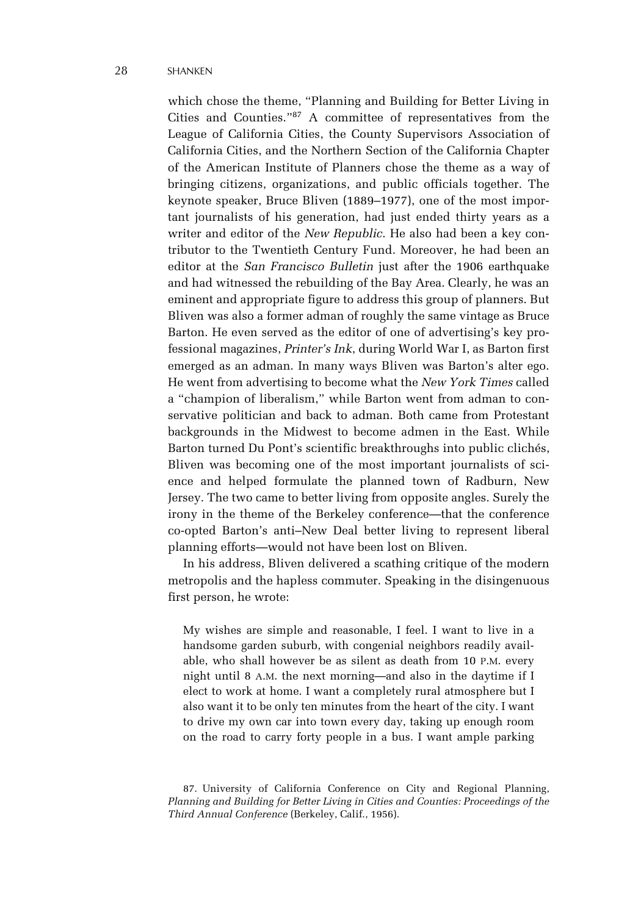which chose the theme, "Planning and Building for Better Living in Cities and Counties."87 A committee of representatives from the League of California Cities, the County Supervisors Association of California Cities, and the Northern Section of the California Chapter of the American Institute of Planners chose the theme as a way of bringing citizens, organizations, and public officials together. The keynote speaker, Bruce Bliven (1889–1977), one of the most important journalists of his generation, had just ended thirty years as a writer and editor of the *New Republic*. He also had been a key contributor to the Twentieth Century Fund. Moreover, he had been an editor at the *San Francisco Bulletin* just after the 1906 earthquake and had witnessed the rebuilding of the Bay Area. Clearly, he was an eminent and appropriate figure to address this group of planners. But Bliven was also a former adman of roughly the same vintage as Bruce Barton. He even served as the editor of one of advertising's key professional magazines, *Printer's Ink*, during World War I, as Barton first emerged as an adman. In many ways Bliven was Barton's alter ego. He went from advertising to become what the *New York Times* called a "champion of liberalism," while Barton went from adman to conservative politician and back to adman. Both came from Protestant backgrounds in the Midwest to become admen in the East. While Barton turned Du Pont's scientific breakthroughs into public clichés, Bliven was becoming one of the most important journalists of science and helped formulate the planned town of Radburn, New Jersey. The two came to better living from opposite angles. Surely the irony in the theme of the Berkeley conference—that the conference co-opted Barton's anti–New Deal better living to represent liberal planning efforts—would not have been lost on Bliven.

In his address, Bliven delivered a scathing critique of the modern metropolis and the hapless commuter. Speaking in the disingenuous first person, he wrote:

My wishes are simple and reasonable, I feel. I want to live in a handsome garden suburb, with congenial neighbors readily available, who shall however be as silent as death from 10 P.M. every night until 8 A.M. the next morning—and also in the daytime if I elect to work at home. I want a completely rural atmosphere but I also want it to be only ten minutes from the heart of the city. I want to drive my own car into town every day, taking up enough room on the road to carry forty people in a bus. I want ample parking

<sup>87.</sup> University of California Conference on City and Regional Planning, *Planning and Building for Better Living in Cities and Counties: Proceedings of the Third Annual Conference* (Berkeley, Calif., 1956).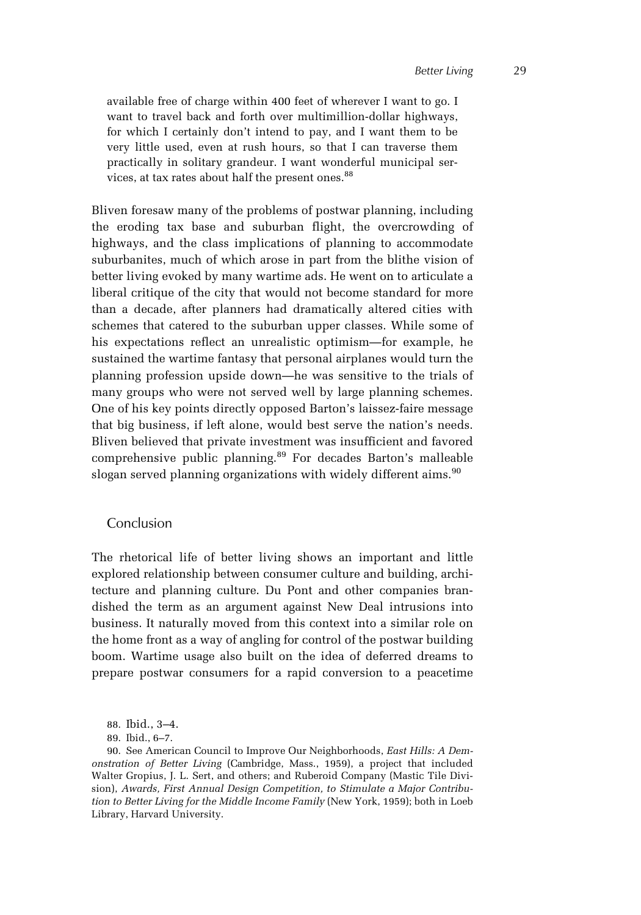available free of charge within 400 feet of wherever I want to go. I want to travel back and forth over multimillion-dollar highways, for which I certainly don't intend to pay, and I want them to be very little used, even at rush hours, so that I can traverse them practically in solitary grandeur. I want wonderful municipal services, at tax rates about half the present ones.<sup>88</sup>

Bliven foresaw many of the problems of postwar planning, including the eroding tax base and suburban flight, the overcrowding of highways, and the class implications of planning to accommodate suburbanites, much of which arose in part from the blithe vision of better living evoked by many wartime ads. He went on to articulate a liberal critique of the city that would not become standard for more than a decade, after planners had dramatically altered cities with schemes that catered to the suburban upper classes. While some of his expectations reflect an unrealistic optimism—for example, he sustained the wartime fantasy that personal airplanes would turn the planning profession upside down—he was sensitive to the trials of many groups who were not served well by large planning schemes. One of his key points directly opposed Barton's laissez-faire message that big business, if left alone, would best serve the nation's needs. Bliven believed that private investment was insufficient and favored comprehensive public planning.<sup>89</sup> For decades Barton's malleable slogan served planning organizations with widely different aims. $90$ 

## Conclusion

The rhetorical life of better living shows an important and little explored relationship between consumer culture and building, architecture and planning culture. Du Pont and other companies brandished the term as an argument against New Deal intrusions into business. It naturally moved from this context into a similar role on the home front as a way of angling for control of the postwar building boom. Wartime usage also built on the idea of deferred dreams to prepare postwar consumers for a rapid conversion to a peacetime

89. Ibid., 6–7.

<sup>88.</sup> Ibid., 3–4.

<sup>90.</sup> See American Council to Improve Our Neighborhoods, *East Hills: A Demonstration of Better Living* (Cambridge, Mass., 1959), a project that included Walter Gropius, J. L. Sert, and others; and Ruberoid Company (Mastic Tile Division), *Awards, First Annual Design Competition, to Stimulate a Major Contribution to Better Living for the Middle Income Family* (New York, 1959); both in Loeb Library, Harvard University.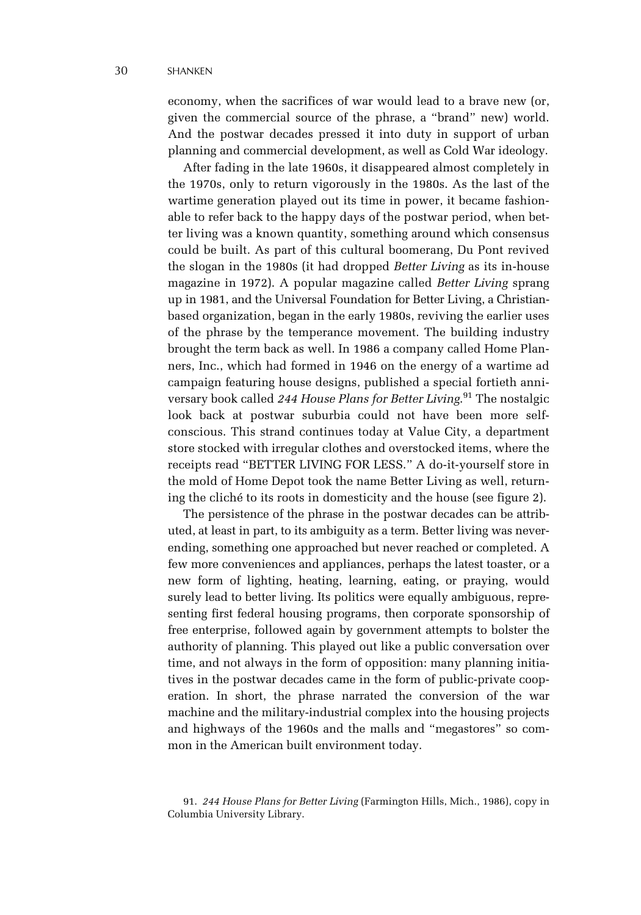economy, when the sacrifices of war would lead to a brave new (or, given the commercial source of the phrase, a "brand" new) world. And the postwar decades pressed it into duty in support of urban planning and commercial development, as well as Cold War ideology.

After fading in the late 1960s, it disappeared almost completely in the 1970s, only to return vigorously in the 1980s. As the last of the wartime generation played out its time in power, it became fashionable to refer back to the happy days of the postwar period, when better living was a known quantity, something around which consensus could be built. As part of this cultural boomerang, Du Pont revived the slogan in the 1980s (it had dropped *Better Living* as its in-house magazine in 1972). A popular magazine called *Better Living* sprang up in 1981, and the Universal Foundation for Better Living, a Christianbased organization, began in the early 1980s, reviving the earlier uses of the phrase by the temperance movement. The building industry brought the term back as well. In 1986 a company called Home Planners, Inc., which had formed in 1946 on the energy of a wartime ad campaign featuring house designs, published a special fortieth anniversary book called *244 House Plans for Better Living*. 91 The nostalgic look back at postwar suburbia could not have been more selfconscious. This strand continues today at Value City, a department store stocked with irregular clothes and overstocked items, where the receipts read "BETTER LIVING FOR LESS." A do-it-yourself store in the mold of Home Depot took the name Better Living as well, returning the cliché to its roots in domesticity and the house (see figure 2).

The persistence of the phrase in the postwar decades can be attributed, at least in part, to its ambiguity as a term. Better living was neverending, something one approached but never reached or completed. A few more conveniences and appliances, perhaps the latest toaster, or a new form of lighting, heating, learning, eating, or praying, would surely lead to better living. Its politics were equally ambiguous, representing first federal housing programs, then corporate sponsorship of free enterprise, followed again by government attempts to bolster the authority of planning. This played out like a public conversation over time, and not always in the form of opposition: many planning initiatives in the postwar decades came in the form of public-private cooperation. In short, the phrase narrated the conversion of the war machine and the military-industrial complex into the housing projects and highways of the 1960s and the malls and "megastores" so common in the American built environment today.

<sup>91.</sup> *244 House Plans for Better Living* (Farmington Hills, Mich., 1986), copy in Columbia University Library.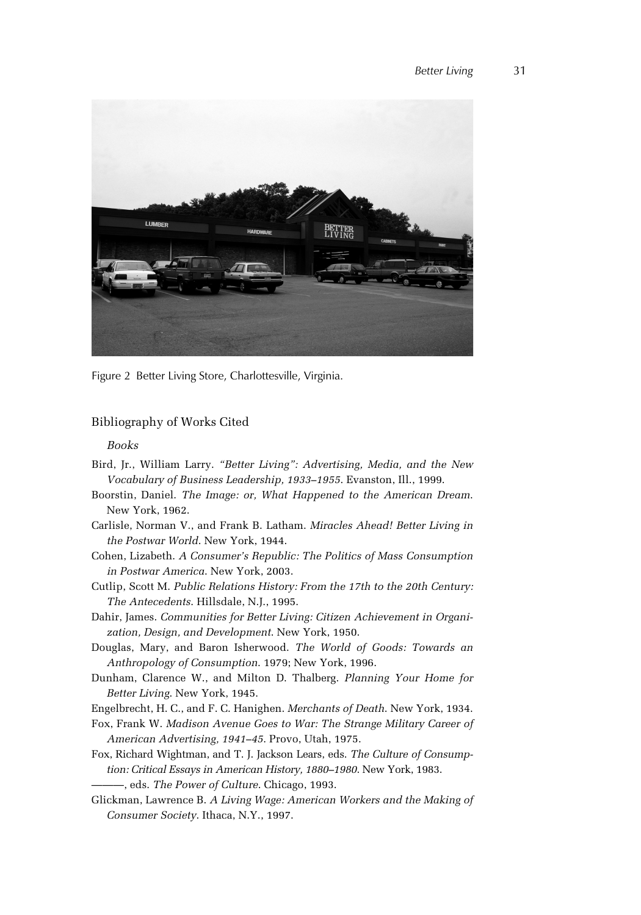

Figure 2 Better Living Store, Charlottesville, Virginia.

# Bibliography of Works Cited

## *Books*

- Bird, Jr., William Larry. *"Better Living": Advertising, Media, and the New Vocabulary of Business Leadership, 1933–1955*. Evanston, Ill., 1999.
- Boorstin, Daniel. *The Image: or, What Happened to the American Dream*. New York, 1962.
- Carlisle, Norman V., and Frank B. Latham. *Miracles Ahead! Better Living in the Postwar World*. New York, 1944.
- Cohen, Lizabeth. *A Consumer's Republic: The Politics of Mass Consumption in Postwar America*. New York, 2003.
- Cutlip, Scott M. *Public Relations History: From the 17th to the 20th Century: The Antecedents*. Hillsdale, N.J., 1995.
- Dahir, James. *Communities for Better Living: Citizen Achievement in Organization, Design, and Development*. New York, 1950.
- Douglas, Mary, and Baron Isherwood. *The World of Goods: Towards an Anthropology of Consumption*. 1979; New York, 1996.
- Dunham, Clarence W., and Milton D. Thalberg. *Planning Your Home for Better Living*. New York, 1945.

Engelbrecht, H. C., and F. C. Hanighen. *Merchants of Death*. New York, 1934.

- Fox, Frank W. *Madison Avenue Goes to War: The Strange Military Career of American Advertising, 1941–45*. Provo, Utah, 1975.
- Fox, Richard Wightman, and T. J. Jackson Lears, eds. *The Culture of Consumption: Critical Essays in American History, 1880–1980*. New York, 1983. ———, eds. *The Power of Culture*. Chicago, 1993.
- Glickman, Lawrence B. *A Living Wage: American Workers and the Making of Consumer Society*. Ithaca, N.Y., 1997.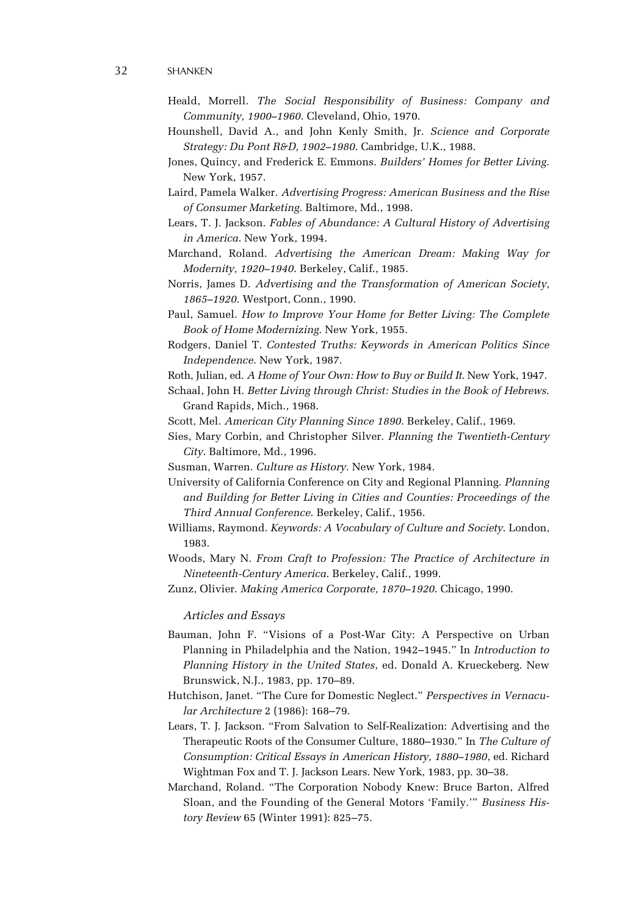- Heald, Morrell. *The Social Responsibility of Business: Company and Community, 1900–1960*. Cleveland, Ohio, 1970.
- Hounshell, David A., and John Kenly Smith, Jr. *Science and Corporate Strategy: Du Pont R&D, 1902–1980*. Cambridge, U.K., 1988.
- Jones, Quincy, and Frederick E. Emmons. *Builders' Homes for Better Living*. New York, 1957.
- Laird, Pamela Walker. *Advertising Progress: American Business and the Rise of Consumer Marketing*. Baltimore, Md., 1998.
- Lears, T. J. Jackson. *Fables of Abundance: A Cultural History of Advertising in America*. New York, 1994.
- Marchand, Roland. *Advertising the American Dream: Making Way for Modernity, 1920–1940*. Berkeley, Calif., 1985.
- Norris, James D. *Advertising and the Transformation of American Society, 1865–1920*. Westport, Conn., 1990.
- Paul, Samuel. *How to Improve Your Home for Better Living: The Complete Book of Home Modernizing*. New York, 1955.
- Rodgers, Daniel T. *Contested Truths: Keywords in American Politics Since Independence*. New York, 1987.
- Roth, Julian, ed. *A Home of Your Own: How to Buy or Build It*. New York, 1947.
- Schaal, John H. *Better Living through Christ: Studies in the Book of Hebrews*. Grand Rapids, Mich., 1968.
- Scott, Mel. *American City Planning Since 1890*. Berkeley, Calif., 1969.
- Sies, Mary Corbin, and Christopher Silver. *Planning the Twentieth-Century City*. Baltimore, Md., 1996.
- Susman, Warren. *Culture as History*. New York, 1984.
- University of California Conference on City and Regional Planning. *Planning and Building for Better Living in Cities and Counties: Proceedings of the Third Annual Conference*. Berkeley, Calif., 1956.
- Williams, Raymond. *Keywords: A Vocabulary of Culture and Society*. London, 1983.
- Woods, Mary N. *From Craft to Profession: The Practice of Architecture in Nineteenth-Century America*. Berkeley, Calif., 1999.
- Zunz, Olivier. *Making America Corporate, 1870–1920*. Chicago, 1990.

*Articles and Essays*

- Bauman, John F. "Visions of a Post-War City: A Perspective on Urban Planning in Philadelphia and the Nation, 1942–1945." In *Introduction to Planning History in the United States*, ed. Donald A. Krueckeberg. New Brunswick, N.J., 1983, pp. 170–89.
- Hutchison, Janet. "The Cure for Domestic Neglect." *Perspectives in Vernacular Architecture* 2 (1986): 168–79.
- Lears, T. J. Jackson. "From Salvation to Self-Realization: Advertising and the Therapeutic Roots of the Consumer Culture, 1880–1930." In *The Culture of Consumption: Critical Essays in American History, 1880–1980*, ed. Richard Wightman Fox and T. J. Jackson Lears. New York, 1983, pp. 30–38.
- Marchand, Roland. "The Corporation Nobody Knew: Bruce Barton, Alfred Sloan, and the Founding of the General Motors 'Family.'" *Business History Review* 65 (Winter 1991): 825–75.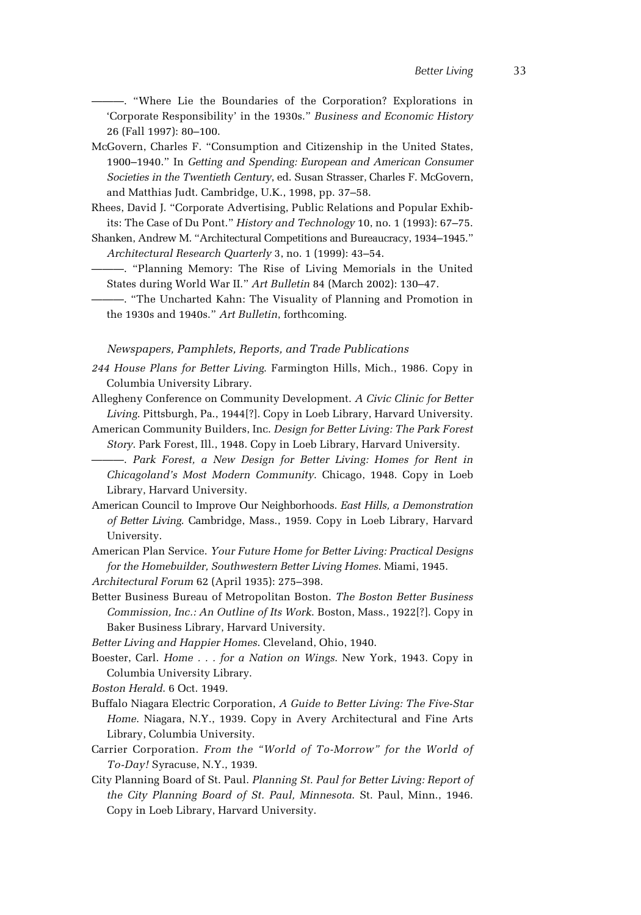———. "Where Lie the Boundaries of the Corporation? Explorations in 'Corporate Responsibility' in the 1930s." *Business and Economic History* 26 (Fall 1997): 80–100.

McGovern, Charles F. "Consumption and Citizenship in the United States, 1900–1940." In *Getting and Spending: European and American Consumer Societies in the Twentieth Century*, ed. Susan Strasser, Charles F. McGovern, and Matthias Judt. Cambridge, U.K., 1998, pp. 37–58.

Rhees, David J. "Corporate Advertising, Public Relations and Popular Exhibits: The Case of Du Pont." *History and Technology* 10, no. 1 (1993): 67–75.

- Shanken, Andrew M. "Architectural Competitions and Bureaucracy, 1934–1945." *Architectural Research Quarterly* 3, no. 1 (1999): 43–54.
- ———. "Planning Memory: The Rise of Living Memorials in the United States during World War II." *Art Bulletin* 84 (March 2002): 130–47.
	- ———. "The Uncharted Kahn: The Visuality of Planning and Promotion in the 1930s and 1940s." *Art Bulletin*, forthcoming.

#### *Newspapers, Pamphlets, Reports, and Trade Publications*

- *244 House Plans for Better Living*. Farmington Hills, Mich., 1986. Copy in Columbia University Library.
- Allegheny Conference on Community Development. *A Civic Clinic for Better Living*. Pittsburgh, Pa., 1944[?]. Copy in Loeb Library, Harvard University.
- American Community Builders, Inc. *Design for Better Living: The Park Forest Story*. Park Forest, Ill., 1948. Copy in Loeb Library, Harvard University.
- ———. *Park Forest, a New Design for Better Living: Homes for Rent in Chicagoland's Most Modern Community*. Chicago, 1948. Copy in Loeb Library, Harvard University.
- American Council to Improve Our Neighborhoods. *East Hills, a Demonstration of Better Living*. Cambridge, Mass., 1959. Copy in Loeb Library, Harvard University.

American Plan Service. *Your Future Home for Better Living: Practical Designs for the Homebuilder, Southwestern Better Living Homes*. Miami, 1945.

- *Architectural Forum* 62 (April 1935): 275–398.
- Better Business Bureau of Metropolitan Boston. *The Boston Better Business Commission, Inc.: An Outline of Its Work*. Boston, Mass., 1922[?]. Copy in Baker Business Library, Harvard University.

*Better Living and Happier Homes*. Cleveland, Ohio, 1940.

- Boester, Carl. *Home . . . for a Nation on Wings*. New York, 1943. Copy in Columbia University Library.
- *Boston Herald*. 6 Oct. 1949.
- Buffalo Niagara Electric Corporation, *A Guide to Better Living: The Five-Star Home*. Niagara, N.Y., 1939. Copy in Avery Architectural and Fine Arts Library, Columbia University.
- Carrier Corporation. *From the "World of To-Morrow" for the World of To-Day!* Syracuse, N.Y., 1939.
- City Planning Board of St. Paul. *Planning St. Paul for Better Living: Report of the City Planning Board of St. Paul, Minnesota*. St. Paul, Minn., 1946. Copy in Loeb Library, Harvard University.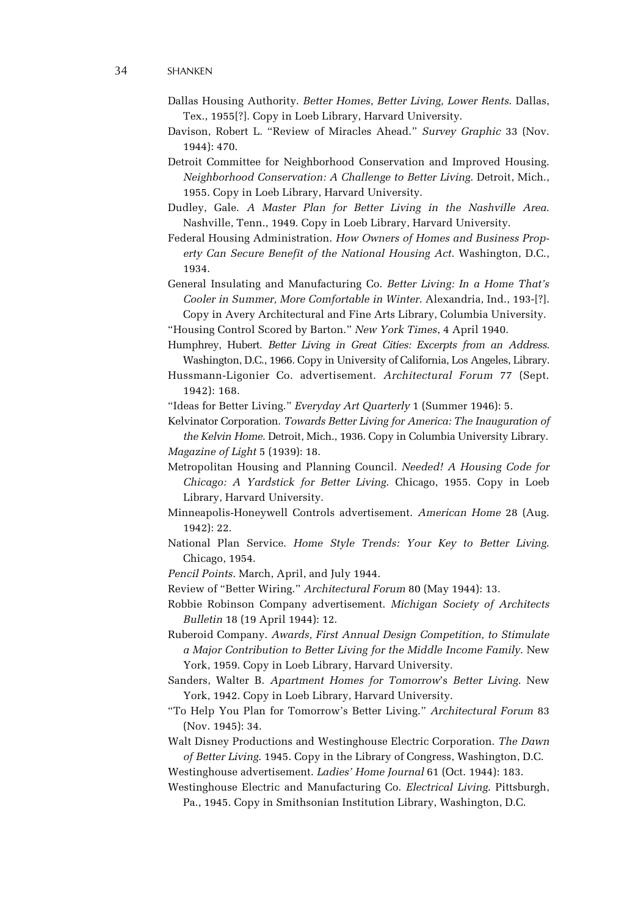- Dallas Housing Authority. *Better Homes, Better Living, Lower Rents*. Dallas, Tex., 1955[?]. Copy in Loeb Library, Harvard University.
- Davison, Robert L. "Review of Miracles Ahead." *Survey Graphic* 33 (Nov. 1944): 470.
- Detroit Committee for Neighborhood Conservation and Improved Housing. *Neighborhood Conservation: A Challenge to Better Living*. Detroit, Mich., 1955. Copy in Loeb Library, Harvard University.
- Dudley, Gale. *A Master Plan for Better Living in the Nashville Area*. Nashville, Tenn., 1949. Copy in Loeb Library, Harvard University.
- Federal Housing Administration. *How Owners of Homes and Business Property Can Secure Benefit of the National Housing Act*. Washington, D.C., 1934.
- General Insulating and Manufacturing Co. *Better Living: In a Home That's Cooler in Summer, More Comfortable in Winter*. Alexandria, Ind., 193-[?]. Copy in Avery Architectural and Fine Arts Library, Columbia University.
- "Housing Control Scored by Barton." *New York Times*, 4 April 1940.
- Humphrey, Hubert. *Better Living in Great Cities: Excerpts from an Address*. Washington, D.C., 1966. Copy in University of California, Los Angeles, Library.
- Hussmann-Ligonier Co. advertisement. *Architectural Forum* 77 (Sept. 1942): 168.
- "Ideas for Better Living." *Everyday Art Quarterly* 1 (Summer 1946): 5.

Kelvinator Corporation. *Towards Better Living for America: The Inauguration of the Kelvin Home*. Detroit, Mich., 1936. Copy in Columbia University Library. *Magazine of Light* 5 (1939): 18.

- Metropolitan Housing and Planning Council. *Needed! A Housing Code for Chicago: A Yardstick for Better Living*. Chicago, 1955. Copy in Loeb Library, Harvard University.
- Minneapolis-Honeywell Controls advertisement. *American Home* 28 (Aug. 1942): 22.
- National Plan Service. *Home Style Trends: Your Key to Better Living*. Chicago, 1954.
- *Pencil Points*. March, April, and July 1944.
- Review of "Better Wiring." *Architectural Forum* 80 (May 1944): 13.
- Robbie Robinson Company advertisement. *Michigan Society of Architects Bulletin* 18 (19 April 1944): 12.
- Ruberoid Company. *Awards, First Annual Design Competition, to Stimulate a Major Contribution to Better Living for the Middle Income Family*. New York, 1959. Copy in Loeb Library, Harvard University.
- Sanders, Walter B. *Apartment Homes for Tomorrow*'s *Better Living*. New York, 1942. Copy in Loeb Library, Harvard University.
- "To Help You Plan for Tomorrow's Better Living." *Architectural Forum* 83 (Nov. 1945): 34.
- Walt Disney Productions and Westinghouse Electric Corporation. *The Dawn of Better Living*. 1945. Copy in the Library of Congress, Washington, D.C.
- Westinghouse advertisement. *Ladies' Home Journal* 61 (Oct. 1944): 183.
- Westinghouse Electric and Manufacturing Co. *Electrical Living*. Pittsburgh, Pa., 1945. Copy in Smithsonian Institution Library, Washington, D.C.